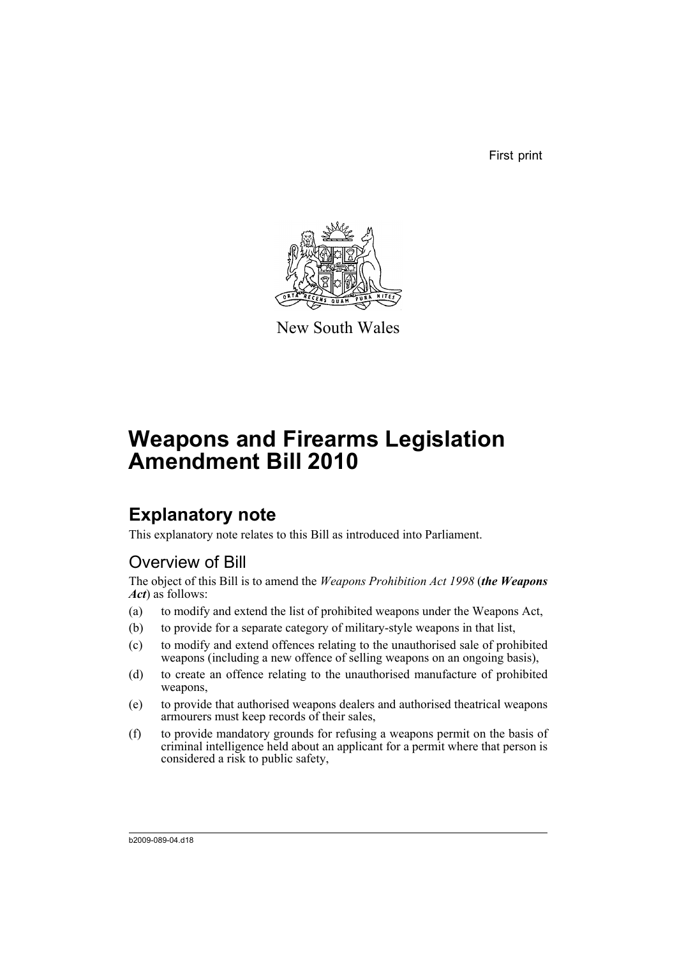First print



New South Wales

# **Weapons and Firearms Legislation Amendment Bill 2010**

## **Explanatory note**

This explanatory note relates to this Bill as introduced into Parliament.

## Overview of Bill

The object of this Bill is to amend the *Weapons Prohibition Act 1998* (*the Weapons Act*) as follows:

- (a) to modify and extend the list of prohibited weapons under the Weapons Act,
- (b) to provide for a separate category of military-style weapons in that list,
- (c) to modify and extend offences relating to the unauthorised sale of prohibited weapons (including a new offence of selling weapons on an ongoing basis),
- (d) to create an offence relating to the unauthorised manufacture of prohibited weapons,
- (e) to provide that authorised weapons dealers and authorised theatrical weapons armourers must keep records of their sales,
- (f) to provide mandatory grounds for refusing a weapons permit on the basis of criminal intelligence held about an applicant for a permit where that person is considered a risk to public safety,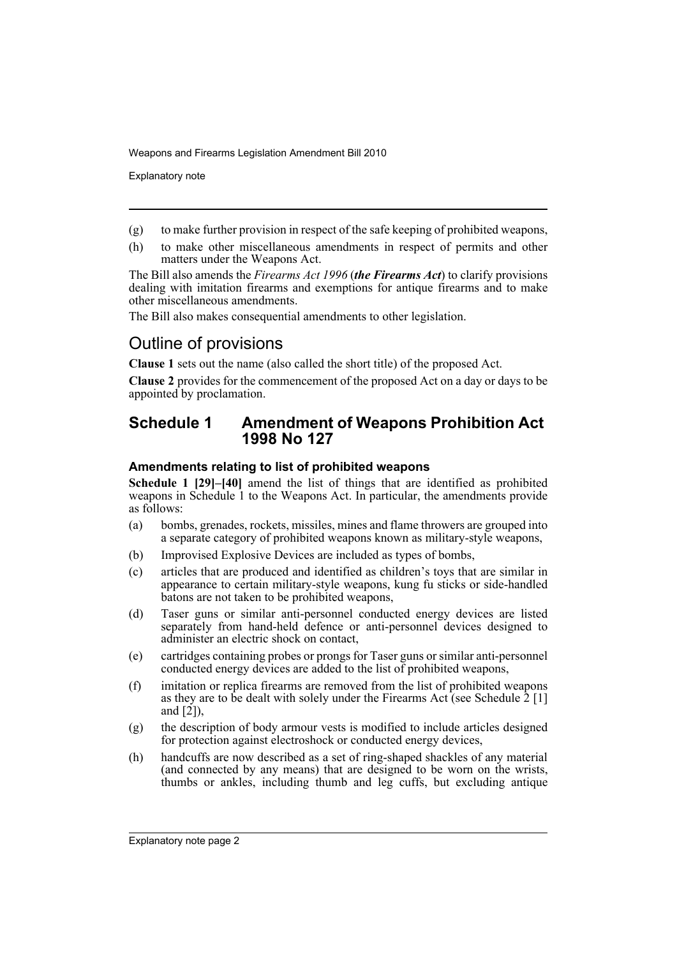Explanatory note

- (g) to make further provision in respect of the safe keeping of prohibited weapons,
- (h) to make other miscellaneous amendments in respect of permits and other matters under the Weapons Act.

The Bill also amends the *Firearms Act 1996* (*the Firearms Act*) to clarify provisions dealing with imitation firearms and exemptions for antique firearms and to make other miscellaneous amendments.

The Bill also makes consequential amendments to other legislation.

## Outline of provisions

**Clause 1** sets out the name (also called the short title) of the proposed Act.

**Clause 2** provides for the commencement of the proposed Act on a day or days to be appointed by proclamation.

### **Schedule 1 Amendment of Weapons Prohibition Act 1998 No 127**

### **Amendments relating to list of prohibited weapons**

**Schedule 1 [29]–[40]** amend the list of things that are identified as prohibited weapons in Schedule 1 to the Weapons Act. In particular, the amendments provide as follows:

- (a) bombs, grenades, rockets, missiles, mines and flame throwers are grouped into a separate category of prohibited weapons known as military-style weapons,
- (b) Improvised Explosive Devices are included as types of bombs,
- (c) articles that are produced and identified as children's toys that are similar in appearance to certain military-style weapons, kung fu sticks or side-handled batons are not taken to be prohibited weapons,
- (d) Taser guns or similar anti-personnel conducted energy devices are listed separately from hand-held defence or anti-personnel devices designed to administer an electric shock on contact,
- (e) cartridges containing probes or prongs for Taser guns or similar anti-personnel conducted energy devices are added to the list of prohibited weapons,
- (f) imitation or replica firearms are removed from the list of prohibited weapons as they are to be dealt with solely under the Firearms Act (see Schedule  $\hat{2}$  [1] and [2]),
- (g) the description of body armour vests is modified to include articles designed for protection against electroshock or conducted energy devices,
- (h) handcuffs are now described as a set of ring-shaped shackles of any material (and connected by any means) that are designed to be worn on the wrists, thumbs or ankles, including thumb and leg cuffs, but excluding antique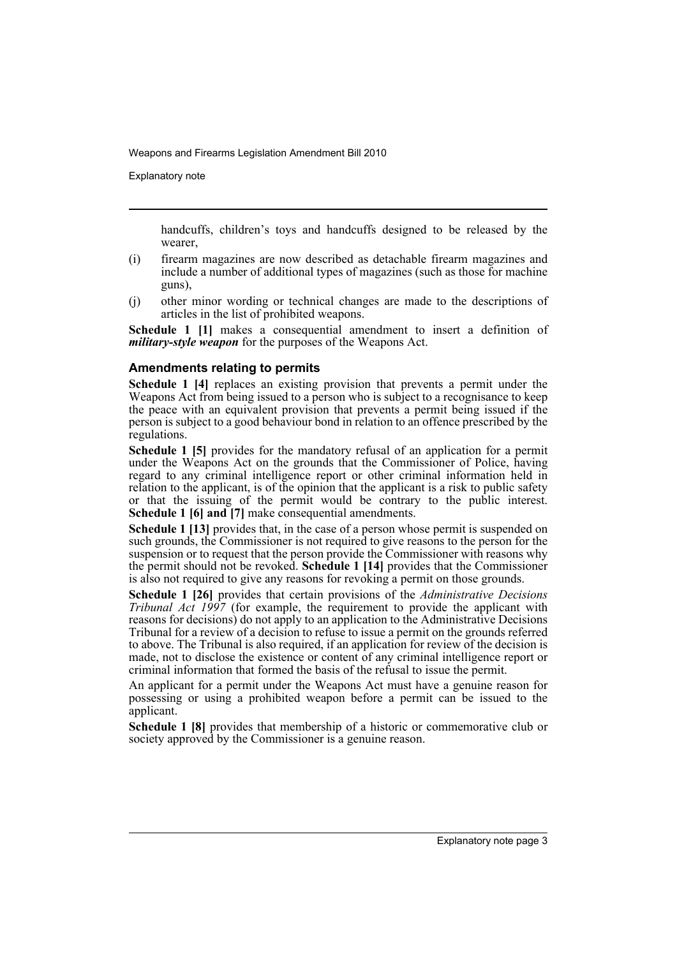Explanatory note

handcuffs, children's toys and handcuffs designed to be released by the wearer,

- (i) firearm magazines are now described as detachable firearm magazines and include a number of additional types of magazines (such as those for machine guns),
- (j) other minor wording or technical changes are made to the descriptions of articles in the list of prohibited weapons.

**Schedule 1 [1]** makes a consequential amendment to insert a definition of *military-style weapon* for the purposes of the Weapons Act.

### **Amendments relating to permits**

**Schedule 1 [4]** replaces an existing provision that prevents a permit under the Weapons Act from being issued to a person who is subject to a recognisance to keep the peace with an equivalent provision that prevents a permit being issued if the person is subject to a good behaviour bond in relation to an offence prescribed by the regulations.

**Schedule 1 [5]** provides for the mandatory refusal of an application for a permit under the Weapons Act on the grounds that the Commissioner of Police, having regard to any criminal intelligence report or other criminal information held in relation to the applicant, is of the opinion that the applicant is a risk to public safety or that the issuing of the permit would be contrary to the public interest. **Schedule 1 [6] and [7]** make consequential amendments.

**Schedule 1 [13]** provides that, in the case of a person whose permit is suspended on such grounds, the Commissioner is not required to give reasons to the person for the suspension or to request that the person provide the Commissioner with reasons why the permit should not be revoked. **Schedule 1 [14]** provides that the Commissioner is also not required to give any reasons for revoking a permit on those grounds.

**Schedule 1 [26]** provides that certain provisions of the *Administrative Decisions Tribunal Act 1997* (for example, the requirement to provide the applicant with reasons for decisions) do not apply to an application to the Administrative Decisions Tribunal for a review of a decision to refuse to issue a permit on the grounds referred to above. The Tribunal is also required, if an application for review of the decision is made, not to disclose the existence or content of any criminal intelligence report or criminal information that formed the basis of the refusal to issue the permit.

An applicant for a permit under the Weapons Act must have a genuine reason for possessing or using a prohibited weapon before a permit can be issued to the applicant.

**Schedule 1 [8]** provides that membership of a historic or commemorative club or society approved by the Commissioner is a genuine reason.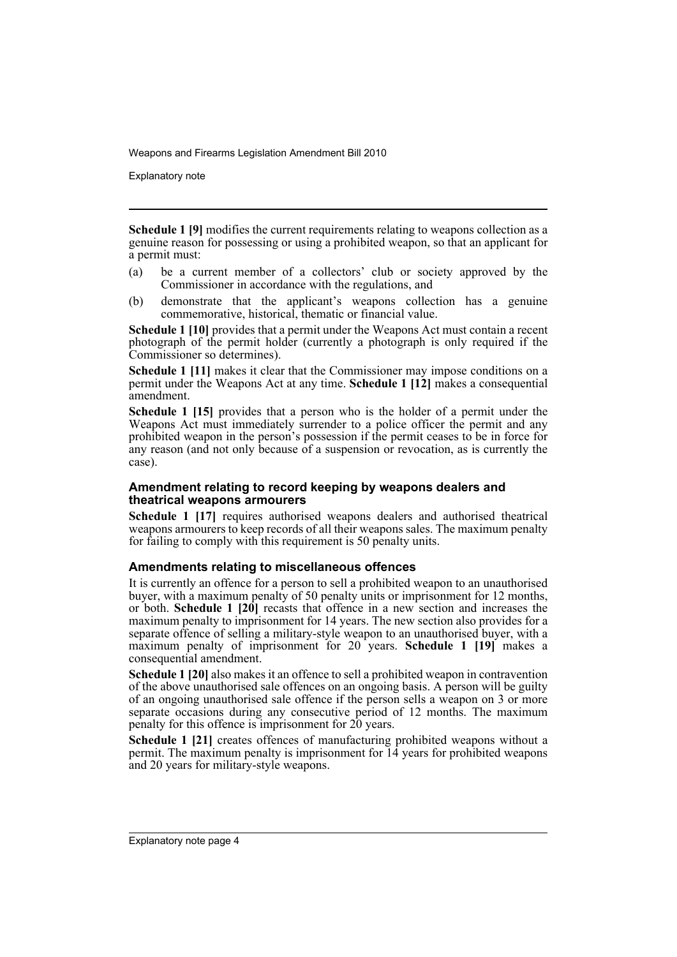Explanatory note

**Schedule 1 [9]** modifies the current requirements relating to weapons collection as a genuine reason for possessing or using a prohibited weapon, so that an applicant for a permit must:

- (a) be a current member of a collectors' club or society approved by the Commissioner in accordance with the regulations, and
- (b) demonstrate that the applicant's weapons collection has a genuine commemorative, historical, thematic or financial value.

**Schedule 1 [10]** provides that a permit under the Weapons Act must contain a recent photograph of the permit holder (currently a photograph is only required if the Commissioner so determines).

**Schedule 1 [11]** makes it clear that the Commissioner may impose conditions on a permit under the Weapons Act at any time. **Schedule 1 [12]** makes a consequential amendment.

**Schedule 1 [15]** provides that a person who is the holder of a permit under the Weapons Act must immediately surrender to a police officer the permit and any prohibited weapon in the person's possession if the permit ceases to be in force for any reason (and not only because of a suspension or revocation, as is currently the case).

### **Amendment relating to record keeping by weapons dealers and theatrical weapons armourers**

**Schedule 1 [17]** requires authorised weapons dealers and authorised theatrical weapons armourers to keep records of all their weapons sales. The maximum penalty for failing to comply with this requirement is 50 penalty units.

### **Amendments relating to miscellaneous offences**

It is currently an offence for a person to sell a prohibited weapon to an unauthorised buyer, with a maximum penalty of 50 penalty units or imprisonment for 12 months, or both. **Schedule 1 [20]** recasts that offence in a new section and increases the maximum penalty to imprisonment for 14 years. The new section also provides for a separate offence of selling a military-style weapon to an unauthorised buyer, with a maximum penalty of imprisonment for 20 years. **Schedule 1 [19]** makes a consequential amendment.

**Schedule 1 [20]** also makes it an offence to sell a prohibited weapon in contravention of the above unauthorised sale offences on an ongoing basis. A person will be guilty of an ongoing unauthorised sale offence if the person sells a weapon on 3 or more separate occasions during any consecutive period of 12 months. The maximum penalty for this offence is imprisonment for 20 years.

**Schedule 1 [21]** creates offences of manufacturing prohibited weapons without a permit. The maximum penalty is imprisonment for 14 years for prohibited weapons and 20 years for military-style weapons.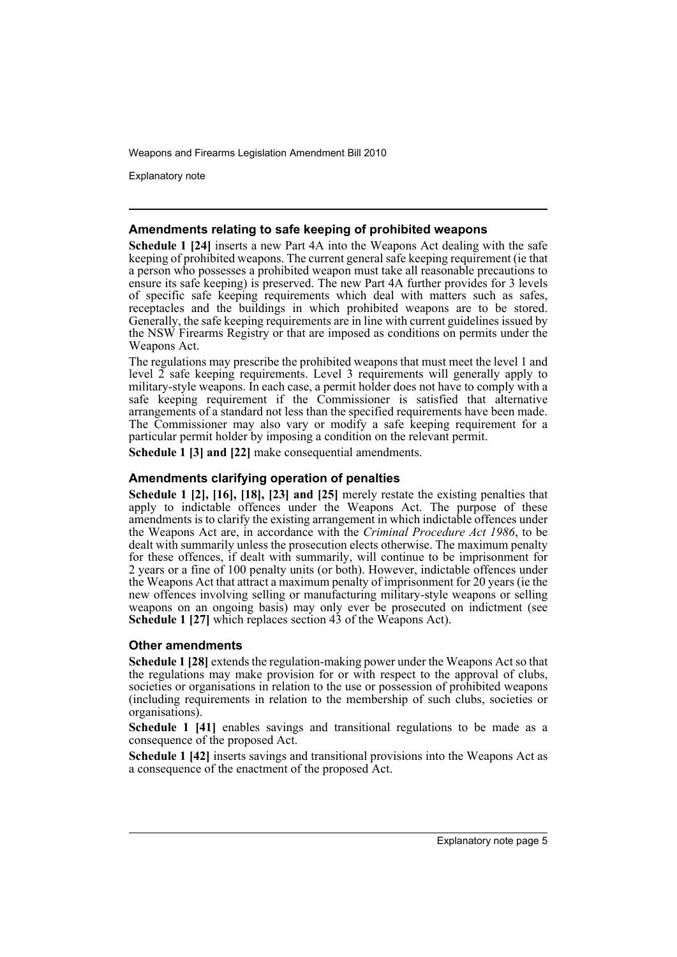Explanatory note

### **Amendments relating to safe keeping of prohibited weapons**

**Schedule 1 [24]** inserts a new Part 4A into the Weapons Act dealing with the safe keeping of prohibited weapons. The current general safe keeping requirement (ie that a person who possesses a prohibited weapon must take all reasonable precautions to ensure its safe keeping) is preserved. The new Part 4A further provides for 3 levels of specific safe keeping requirements which deal with matters such as safes, receptacles and the buildings in which prohibited weapons are to be stored. Generally, the safe keeping requirements are in line with current guidelines issued by the NSW Firearms Registry or that are imposed as conditions on permits under the Weapons Act.

The regulations may prescribe the prohibited weapons that must meet the level 1 and level  $\tilde{2}$  safe keeping requirements. Level 3 requirements will generally apply to military-style weapons. In each case, a permit holder does not have to comply with a safe keeping requirement if the Commissioner is satisfied that alternative arrangements of a standard not less than the specified requirements have been made. The Commissioner may also vary or modify a safe keeping requirement for a particular permit holder by imposing a condition on the relevant permit.

**Schedule 1 [3] and [22]** make consequential amendments.

### **Amendments clarifying operation of penalties**

**Schedule 1 [2], [16], [18], [23] and [25]** merely restate the existing penalties that apply to indictable offences under the Weapons Act. The purpose of these amendments is to clarify the existing arrangement in which indictable offences under the Weapons Act are, in accordance with the *Criminal Procedure Act 1986*, to be dealt with summarily unless the prosecution elects otherwise. The maximum penalty for these offences, if dealt with summarily, will continue to be imprisonment for 2 years or a fine of 100 penalty units (or both). However, indictable offences under the Weapons Act that attract a maximum penalty of imprisonment for 20 years (ie the new offences involving selling or manufacturing military-style weapons or selling weapons on an ongoing basis) may only ever be prosecuted on indictment (see **Schedule 1 [27]** which replaces section 43 of the Weapons Act).

### **Other amendments**

**Schedule 1 [28]** extends the regulation-making power under the Weapons Act so that the regulations may make provision for or with respect to the approval of clubs, societies or organisations in relation to the use or possession of prohibited weapons (including requirements in relation to the membership of such clubs, societies or organisations).

**Schedule 1 [41]** enables savings and transitional regulations to be made as a consequence of the proposed Act.

**Schedule 1 [42]** inserts savings and transitional provisions into the Weapons Act as a consequence of the enactment of the proposed Act.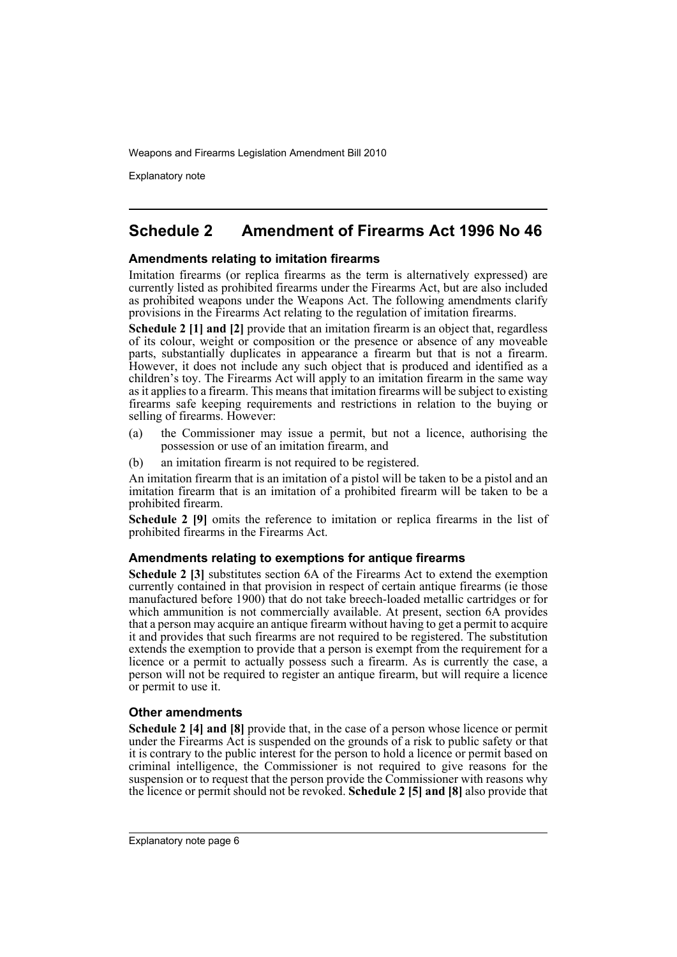Explanatory note

## **Schedule 2 Amendment of Firearms Act 1996 No 46**

### **Amendments relating to imitation firearms**

Imitation firearms (or replica firearms as the term is alternatively expressed) are currently listed as prohibited firearms under the Firearms Act, but are also included as prohibited weapons under the Weapons Act. The following amendments clarify provisions in the Firearms Act relating to the regulation of imitation firearms.

**Schedule 2 [1] and [2]** provide that an imitation firearm is an object that, regardless of its colour, weight or composition or the presence or absence of any moveable parts, substantially duplicates in appearance a firearm but that is not a firearm. However, it does not include any such object that is produced and identified as a children's toy. The Firearms Act will apply to an imitation firearm in the same way as it applies to a firearm. This means that imitation firearms will be subject to existing firearms safe keeping requirements and restrictions in relation to the buying or selling of firearms. However:

- (a) the Commissioner may issue a permit, but not a licence, authorising the possession or use of an imitation firearm, and
- (b) an imitation firearm is not required to be registered.

An imitation firearm that is an imitation of a pistol will be taken to be a pistol and an imitation firearm that is an imitation of a prohibited firearm will be taken to be a prohibited firearm.

**Schedule 2 [9]** omits the reference to imitation or replica firearms in the list of prohibited firearms in the Firearms Act.

### **Amendments relating to exemptions for antique firearms**

**Schedule 2 [3]** substitutes section 6A of the Firearms Act to extend the exemption currently contained in that provision in respect of certain antique firearms (ie those manufactured before 1900) that do not take breech-loaded metallic cartridges or for which ammunition is not commercially available. At present, section 6A provides that a person may acquire an antique firearm without having to get a permit to acquire it and provides that such firearms are not required to be registered. The substitution extends the exemption to provide that a person is exempt from the requirement for a licence or a permit to actually possess such a firearm. As is currently the case, a person will not be required to register an antique firearm, but will require a licence or permit to use it.

### **Other amendments**

**Schedule 2 [4] and [8]** provide that, in the case of a person whose licence or permit under the Firearms Act is suspended on the grounds of a risk to public safety or that it is contrary to the public interest for the person to hold a licence or permit based on criminal intelligence, the Commissioner is not required to give reasons for the suspension or to request that the person provide the Commissioner with reasons why the licence or permit should not be revoked. **Schedule 2 [5] and [8]** also provide that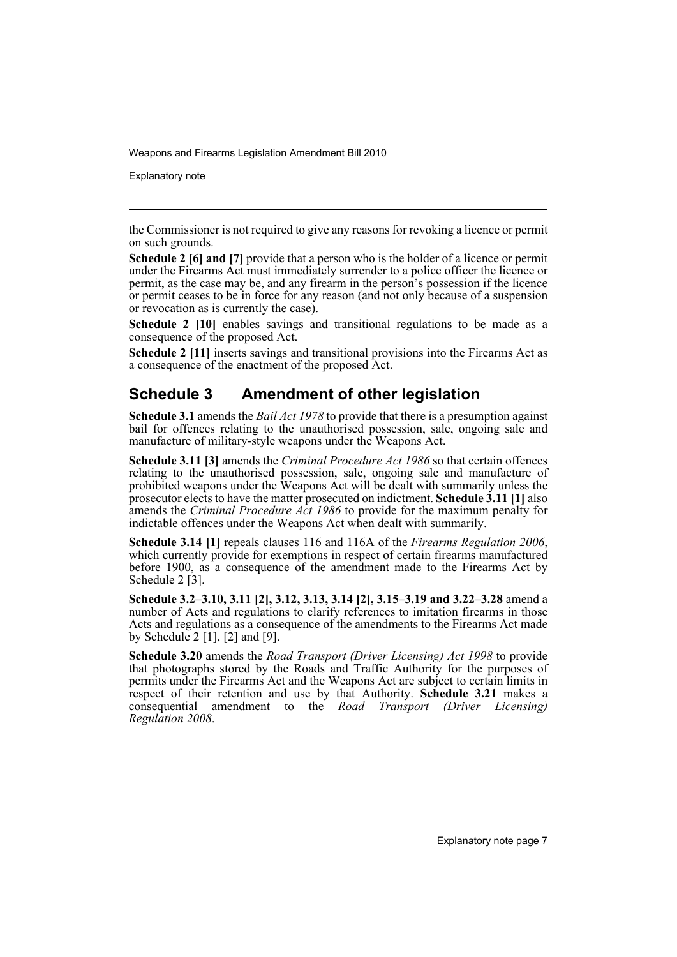Explanatory note

the Commissioner is not required to give any reasons for revoking a licence or permit on such grounds.

**Schedule 2 [6] and [7]** provide that a person who is the holder of a licence or permit under the Firearms Act must immediately surrender to a police officer the licence or permit, as the case may be, and any firearm in the person's possession if the licence or permit ceases to be in force for any reason (and not only because of a suspension or revocation as is currently the case).

**Schedule 2 [10]** enables savings and transitional regulations to be made as a consequence of the proposed Act.

**Schedule 2 [11]** inserts savings and transitional provisions into the Firearms Act as a consequence of the enactment of the proposed Act.

## **Schedule 3 Amendment of other legislation**

**Schedule 3.1** amends the *Bail Act 1978* to provide that there is a presumption against bail for offences relating to the unauthorised possession, sale, ongoing sale and manufacture of military-style weapons under the Weapons Act.

**Schedule 3.11 [3]** amends the *Criminal Procedure Act 1986* so that certain offences relating to the unauthorised possession, sale, ongoing sale and manufacture of prohibited weapons under the Weapons Act will be dealt with summarily unless the prosecutor elects to have the matter prosecuted on indictment. **Schedule 3.11 [1]** also amends the *Criminal Procedure Act 1986* to provide for the maximum penalty for indictable offences under the Weapons Act when dealt with summarily.

**Schedule 3.14 [1]** repeals clauses 116 and 116A of the *Firearms Regulation 2006*, which currently provide for exemptions in respect of certain firearms manufactured before 1900, as a consequence of the amendment made to the Firearms Act by Schedule 2<sup>[3]</sup>.

**Schedule 3.2–3.10, 3.11 [2], 3.12, 3.13, 3.14 [2], 3.15–3.19 and 3.22–3.28** amend a number of Acts and regulations to clarify references to imitation firearms in those Acts and regulations as a consequence of the amendments to the Firearms Act made by Schedule 2 [1], [2] and [9].

**Schedule 3.20** amends the *Road Transport (Driver Licensing) Act 1998* to provide that photographs stored by the Roads and Traffic Authority for the purposes of permits under the Firearms Act and the Weapons Act are subject to certain limits in respect of their retention and use by that Authority. **Schedule 3.21** makes a consequential amendment to the *Road Transport (Driver Licensing) Regulation 2008*.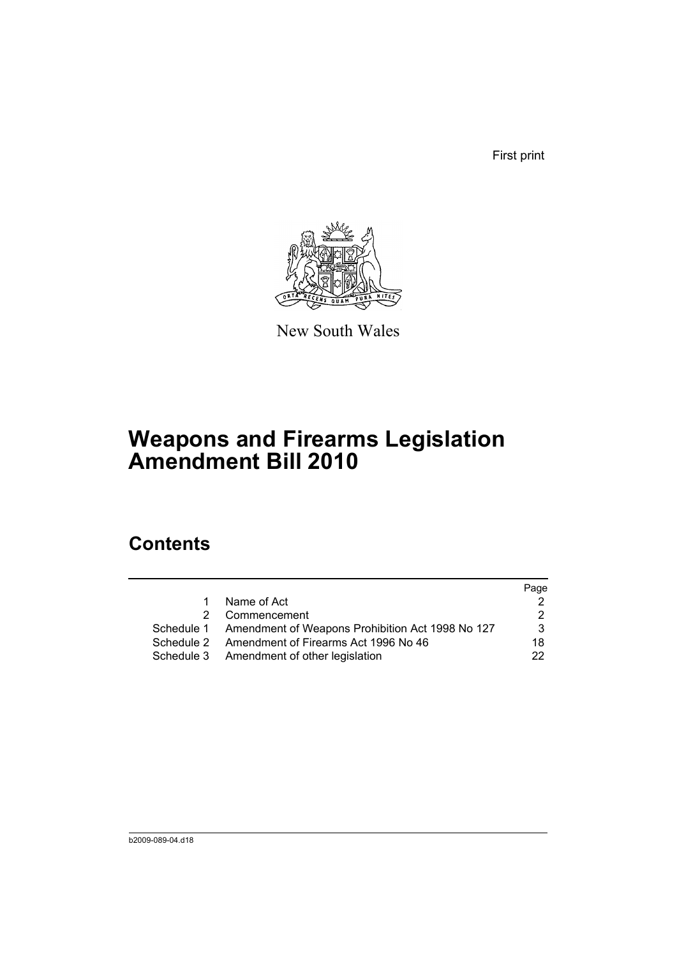First print



New South Wales

# **Weapons and Firearms Legislation Amendment Bill 2010**

## **Contents**

|            |                                                             | Page |
|------------|-------------------------------------------------------------|------|
| 1.         | Name of Act                                                 |      |
| 2.         | Commencement                                                | 2.   |
|            | Schedule 1 Amendment of Weapons Prohibition Act 1998 No 127 | 3    |
| Schedule 2 | Amendment of Firearms Act 1996 No 46                        | 18   |
|            | Schedule 3 Amendment of other legislation                   | 22.  |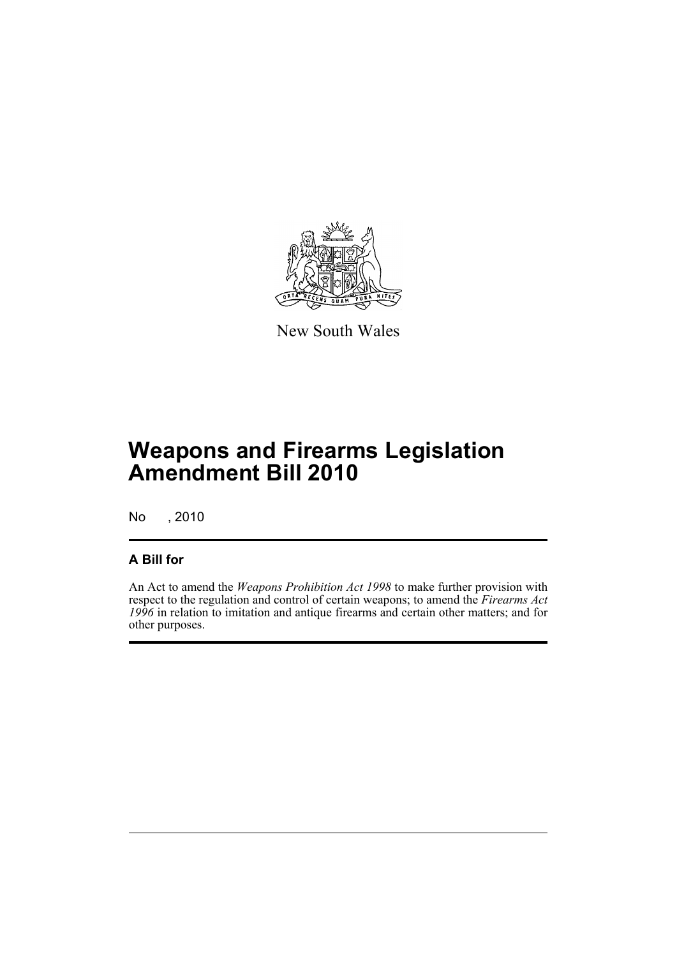

New South Wales

# **Weapons and Firearms Legislation Amendment Bill 2010**

No , 2010

### **A Bill for**

An Act to amend the *Weapons Prohibition Act 1998* to make further provision with respect to the regulation and control of certain weapons; to amend the *Firearms Act 1996* in relation to imitation and antique firearms and certain other matters; and for other purposes.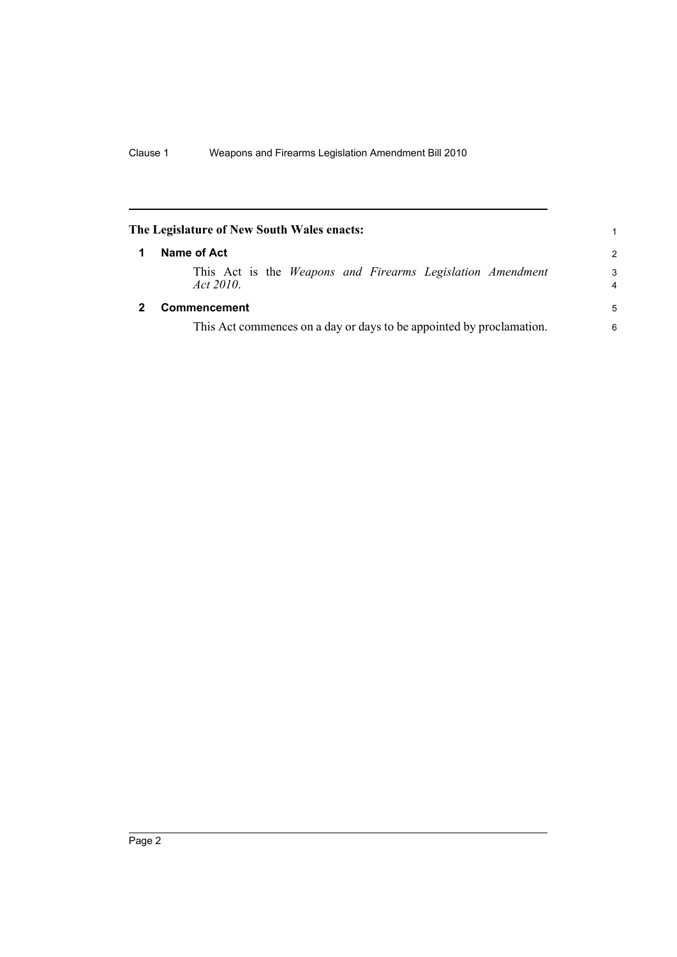<span id="page-11-1"></span><span id="page-11-0"></span>

|   | The Legislature of New South Wales enacts:                                     | 1             |  |  |
|---|--------------------------------------------------------------------------------|---------------|--|--|
| 1 | Name of Act                                                                    | $\mathcal{P}$ |  |  |
|   | This Act is the <i>Weapons and Firearms Legislation Amendment</i><br>Act 2010. | 3<br>4        |  |  |
|   | <b>Commencement</b>                                                            | 5             |  |  |
|   | This Act commences on a day or days to be appointed by proclamation.           |               |  |  |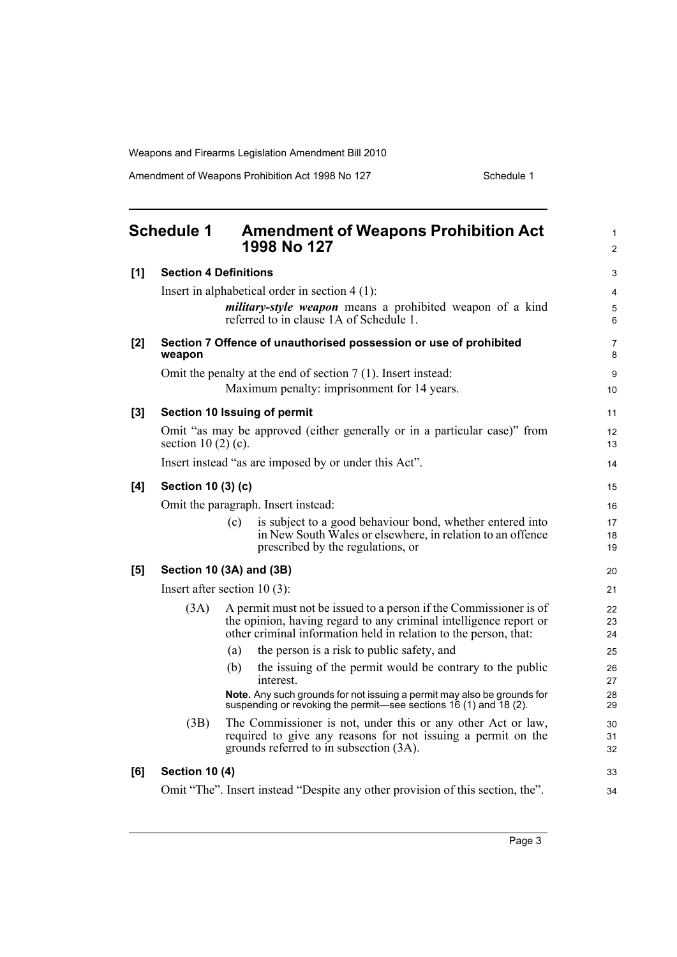Amendment of Weapons Prohibition Act 1998 No 127 Schedule 1

<span id="page-12-0"></span>

|     | <b>Schedule 1</b>                   |     | <b>Amendment of Weapons Prohibition Act</b><br>1998 No 127                                                                                                                                                 | $\mathbf{1}$<br>$\overline{2}$ |  |
|-----|-------------------------------------|-----|------------------------------------------------------------------------------------------------------------------------------------------------------------------------------------------------------------|--------------------------------|--|
| [1] | <b>Section 4 Definitions</b>        |     |                                                                                                                                                                                                            | 3                              |  |
|     |                                     |     | Insert in alphabetical order in section $4(1)$ :                                                                                                                                                           | 4                              |  |
|     |                                     |     | <i>military-style weapon</i> means a prohibited weapon of a kind<br>referred to in clause 1A of Schedule 1.                                                                                                | 5<br>6                         |  |
| [2] | weapon                              |     | Section 7 Offence of unauthorised possession or use of prohibited                                                                                                                                          | 7<br>8                         |  |
|     |                                     |     | Omit the penalty at the end of section $7(1)$ . Insert instead:                                                                                                                                            | 9                              |  |
|     |                                     |     | Maximum penalty: imprisonment for 14 years.                                                                                                                                                                | 10                             |  |
| [3] |                                     |     | Section 10 Issuing of permit                                                                                                                                                                               | 11                             |  |
|     | section 10 $(2)$ $(c)$ .            |     | Omit "as may be approved (either generally or in a particular case)" from                                                                                                                                  | 12<br>13                       |  |
|     |                                     |     | Insert instead "as are imposed by or under this Act".                                                                                                                                                      | 14                             |  |
| [4] | Section 10 (3) (c)                  |     |                                                                                                                                                                                                            |                                |  |
|     | Omit the paragraph. Insert instead: |     |                                                                                                                                                                                                            |                                |  |
|     |                                     | (c) | is subject to a good behaviour bond, whether entered into<br>in New South Wales or elsewhere, in relation to an offence<br>prescribed by the regulations, or                                               | 17<br>18<br>19                 |  |
| [5] | Section 10 (3A) and (3B)            |     |                                                                                                                                                                                                            |                                |  |
|     | Insert after section $10(3)$ :      |     |                                                                                                                                                                                                            |                                |  |
|     | (3A)                                |     | A permit must not be issued to a person if the Commissioner is of<br>the opinion, having regard to any criminal intelligence report or<br>other criminal information held in relation to the person, that: | 22<br>23<br>24                 |  |
|     |                                     | (a) | the person is a risk to public safety, and                                                                                                                                                                 | 25                             |  |
|     |                                     | (b) | the issuing of the permit would be contrary to the public<br>interest.                                                                                                                                     | 26<br>27                       |  |
|     |                                     |     | Note. Any such grounds for not issuing a permit may also be grounds for<br>suspending or revoking the permit—see sections 16 (1) and 18 (2).                                                               | 28<br>29                       |  |
|     | (3B)                                |     | The Commissioner is not, under this or any other Act or law,<br>required to give any reasons for not issuing a permit on the<br>grounds referred to in subsection (3A).                                    | 30<br>31<br>32                 |  |
| [6] | <b>Section 10 (4)</b>               |     |                                                                                                                                                                                                            | 33                             |  |
|     |                                     |     | Omit "The". Insert instead "Despite any other provision of this section, the".                                                                                                                             | 34                             |  |
|     |                                     |     |                                                                                                                                                                                                            |                                |  |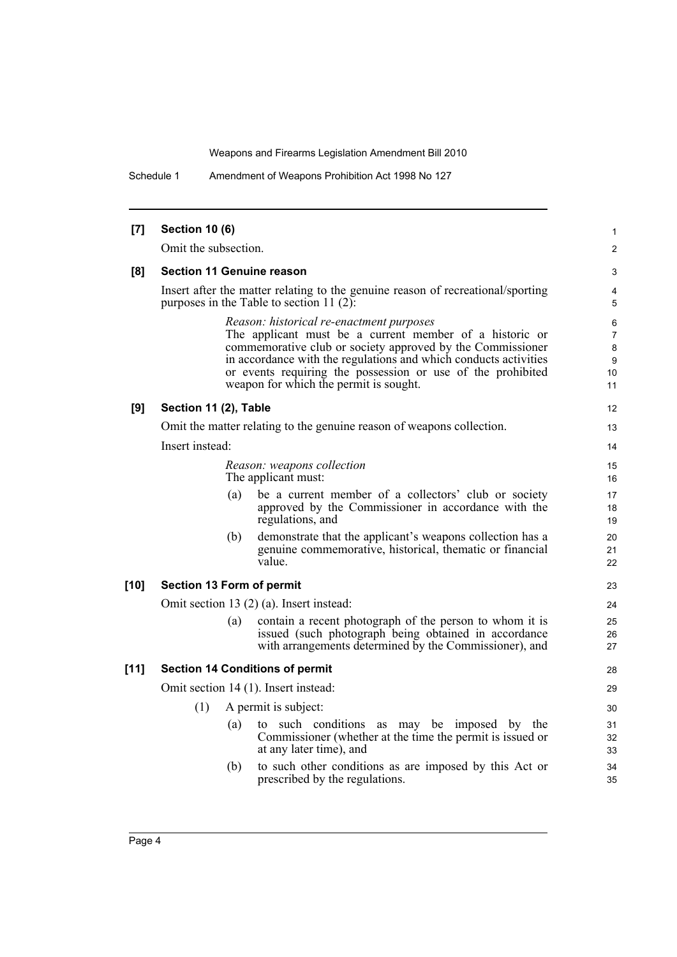Schedule 1 Amendment of Weapons Prohibition Act 1998 No 127

| [7]    | <b>Section 10 (6)</b>     |     |                                                                                                                                                                                                                                                                                                                                                | 1                                         |
|--------|---------------------------|-----|------------------------------------------------------------------------------------------------------------------------------------------------------------------------------------------------------------------------------------------------------------------------------------------------------------------------------------------------|-------------------------------------------|
|        | Omit the subsection.      |     |                                                                                                                                                                                                                                                                                                                                                | $\overline{2}$                            |
| [8]    |                           |     | <b>Section 11 Genuine reason</b>                                                                                                                                                                                                                                                                                                               | 3                                         |
|        |                           |     | Insert after the matter relating to the genuine reason of recreational/sporting<br>purposes in the Table to section $11(2)$ :                                                                                                                                                                                                                  | 4<br>5                                    |
|        |                           |     | Reason: historical re-enactment purposes<br>The applicant must be a current member of a historic or<br>commemorative club or society approved by the Commissioner<br>in accordance with the regulations and which conducts activities<br>or events requiring the possession or use of the prohibited<br>weapon for which the permit is sought. | 6<br>$\overline{7}$<br>8<br>9<br>10<br>11 |
| [9]    | Section 11 (2), Table     |     |                                                                                                                                                                                                                                                                                                                                                | 12                                        |
|        |                           |     | Omit the matter relating to the genuine reason of weapons collection.                                                                                                                                                                                                                                                                          | 13                                        |
|        | Insert instead:           |     |                                                                                                                                                                                                                                                                                                                                                | 14                                        |
|        |                           |     | Reason: weapons collection<br>The applicant must:                                                                                                                                                                                                                                                                                              | 15<br>16                                  |
|        |                           | (a) | be a current member of a collectors' club or society<br>approved by the Commissioner in accordance with the<br>regulations, and                                                                                                                                                                                                                | 17<br>18<br>19                            |
|        |                           | (b) | demonstrate that the applicant's weapons collection has a<br>genuine commemorative, historical, thematic or financial<br>value.                                                                                                                                                                                                                | 20<br>21<br>22                            |
| $[10]$ | Section 13 Form of permit |     |                                                                                                                                                                                                                                                                                                                                                | 23                                        |
|        |                           |     | Omit section 13 (2) (a). Insert instead:                                                                                                                                                                                                                                                                                                       | 24                                        |
|        |                           | (a) | contain a recent photograph of the person to whom it is<br>issued (such photograph being obtained in accordance<br>with arrangements determined by the Commissioner), and                                                                                                                                                                      | 25<br>26<br>27                            |
| $[11]$ |                           |     | <b>Section 14 Conditions of permit</b>                                                                                                                                                                                                                                                                                                         | 28                                        |
|        |                           |     | Omit section 14 (1). Insert instead:                                                                                                                                                                                                                                                                                                           | 29                                        |
|        | (1)                       |     | A permit is subject:                                                                                                                                                                                                                                                                                                                           | 30                                        |
|        |                           | (a) | to such conditions as may be imposed by the<br>Commissioner (whether at the time the permit is issued or<br>at any later time), and                                                                                                                                                                                                            | 31<br>32<br>33                            |
|        |                           | (b) | to such other conditions as are imposed by this Act or<br>prescribed by the regulations.                                                                                                                                                                                                                                                       | 34<br>35                                  |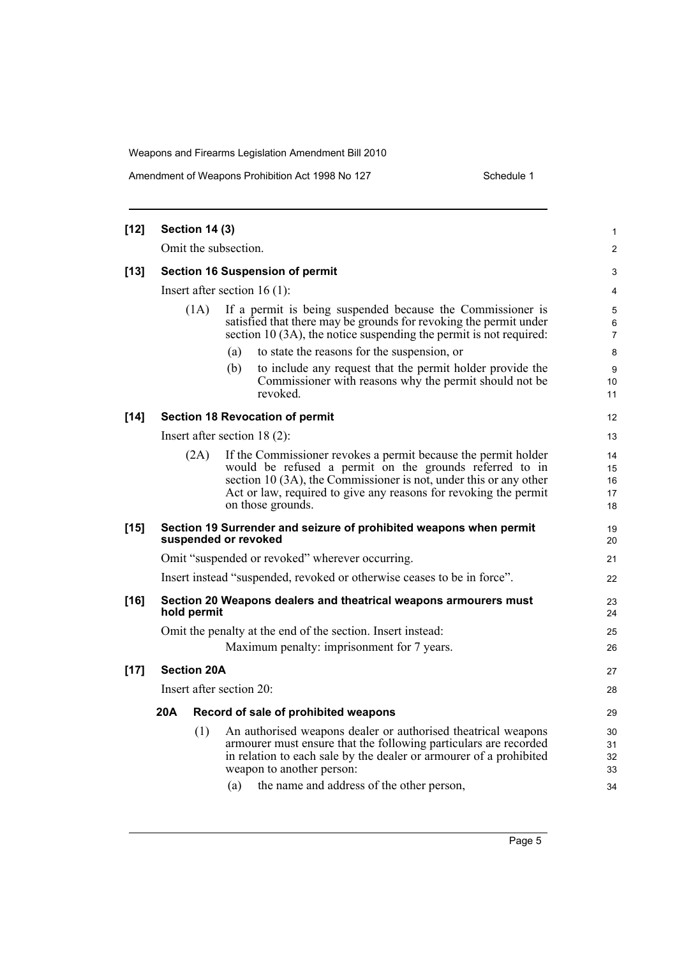Amendment of Weapons Prohibition Act 1998 No 127 Schedule 1

| $[12]$ |     | <b>Section 14 (3)</b> |                                                                                                                                                                                                                                                                                          | 1                          |
|--------|-----|-----------------------|------------------------------------------------------------------------------------------------------------------------------------------------------------------------------------------------------------------------------------------------------------------------------------------|----------------------------|
|        |     |                       | Omit the subsection.                                                                                                                                                                                                                                                                     | 2                          |
| $[13]$ |     |                       | <b>Section 16 Suspension of permit</b>                                                                                                                                                                                                                                                   | 3                          |
|        |     |                       | Insert after section $16(1)$ :                                                                                                                                                                                                                                                           | 4                          |
|        |     | (1A)                  | If a permit is being suspended because the Commissioner is<br>satisfied that there may be grounds for revoking the permit under<br>section 10 (3A), the notice suspending the permit is not required:                                                                                    | 5<br>6<br>$\overline{7}$   |
|        |     |                       | to state the reasons for the suspension, or<br>(a)                                                                                                                                                                                                                                       | 8                          |
|        |     |                       | (b)<br>to include any request that the permit holder provide the<br>Commissioner with reasons why the permit should not be.<br>revoked.                                                                                                                                                  | 9<br>10<br>11              |
| $[14]$ |     |                       | <b>Section 18 Revocation of permit</b>                                                                                                                                                                                                                                                   | 12                         |
|        |     |                       | Insert after section $18(2)$ :                                                                                                                                                                                                                                                           | 13                         |
|        |     | (2A)                  | If the Commissioner revokes a permit because the permit holder<br>would be refused a permit on the grounds referred to in<br>section 10 (3A), the Commissioner is not, under this or any other<br>Act or law, required to give any reasons for revoking the permit<br>on those grounds.  | 14<br>15<br>16<br>17<br>18 |
| $[15]$ |     |                       | Section 19 Surrender and seizure of prohibited weapons when permit<br>suspended or revoked                                                                                                                                                                                               | 19<br>20                   |
|        |     |                       | Omit "suspended or revoked" wherever occurring.                                                                                                                                                                                                                                          | 21                         |
|        |     |                       | Insert instead "suspended, revoked or otherwise ceases to be in force".                                                                                                                                                                                                                  | 22                         |
| $[16]$ |     | hold permit           | Section 20 Weapons dealers and theatrical weapons armourers must                                                                                                                                                                                                                         | 23<br>24                   |
|        |     |                       | Omit the penalty at the end of the section. Insert instead:<br>Maximum penalty: imprisonment for 7 years.                                                                                                                                                                                | 25<br>26                   |
| $[17]$ |     | <b>Section 20A</b>    |                                                                                                                                                                                                                                                                                          | 27                         |
|        |     |                       | Insert after section 20:                                                                                                                                                                                                                                                                 | 28                         |
|        | 20A |                       | Record of sale of prohibited weapons                                                                                                                                                                                                                                                     | 29                         |
|        |     | (1)                   | An authorised weapons dealer or authorised theatrical weapons<br>armourer must ensure that the following particulars are recorded<br>in relation to each sale by the dealer or armourer of a prohibited<br>weapon to another person:<br>(a)<br>the name and address of the other person, | 30<br>31<br>32<br>33<br>34 |
|        |     |                       |                                                                                                                                                                                                                                                                                          |                            |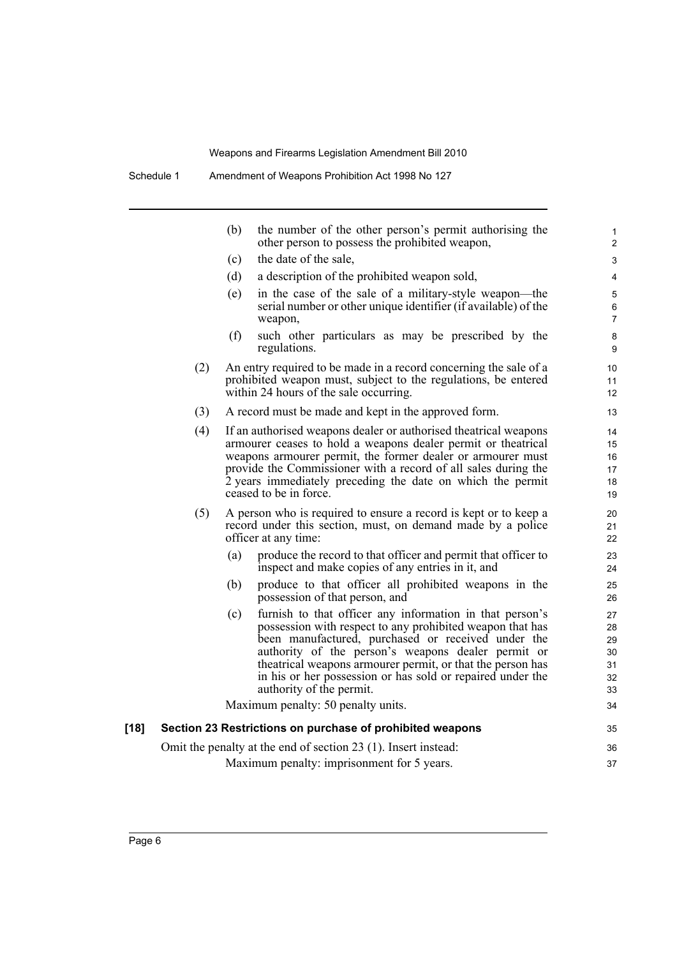|      |     | (b) | the number of the other person's permit authorising the<br>other person to possess the prohibited weapon,                                                                                                                                                                                                                                                                                 | 1<br>$\overline{2}$                    |
|------|-----|-----|-------------------------------------------------------------------------------------------------------------------------------------------------------------------------------------------------------------------------------------------------------------------------------------------------------------------------------------------------------------------------------------------|----------------------------------------|
|      |     | (c) | the date of the sale,                                                                                                                                                                                                                                                                                                                                                                     | 3                                      |
|      |     | (d) | a description of the prohibited weapon sold,                                                                                                                                                                                                                                                                                                                                              | 4                                      |
|      |     | (e) | in the case of the sale of a military-style weapon—the<br>serial number or other unique identifier (if available) of the<br>weapon,                                                                                                                                                                                                                                                       | 5<br>6<br>$\overline{7}$               |
|      |     | (f) | such other particulars as may be prescribed by the<br>regulations.                                                                                                                                                                                                                                                                                                                        | 8<br>9                                 |
|      | (2) |     | An entry required to be made in a record concerning the sale of a<br>prohibited weapon must, subject to the regulations, be entered<br>within 24 hours of the sale occurring.                                                                                                                                                                                                             | 10<br>11<br>12 <sup>2</sup>            |
|      | (3) |     | A record must be made and kept in the approved form.                                                                                                                                                                                                                                                                                                                                      | 13                                     |
|      | (4) |     | If an authorised weapons dealer or authorised theatrical weapons<br>armourer ceases to hold a weapons dealer permit or theatrical<br>weapons armourer permit, the former dealer or armourer must<br>provide the Commissioner with a record of all sales during the<br>2 years immediately preceding the date on which the permit<br>ceased to be in force.                                | 14<br>15<br>16<br>17<br>18<br>19       |
|      | (5) |     | A person who is required to ensure a record is kept or to keep a<br>record under this section, must, on demand made by a police<br>officer at any time:                                                                                                                                                                                                                                   | 20<br>21<br>22                         |
|      |     | (a) | produce the record to that officer and permit that officer to<br>inspect and make copies of any entries in it, and                                                                                                                                                                                                                                                                        | 23<br>24                               |
|      |     | (b) | produce to that officer all prohibited weapons in the<br>possession of that person, and                                                                                                                                                                                                                                                                                                   | 25<br>26                               |
|      |     | (c) | furnish to that officer any information in that person's<br>possession with respect to any prohibited weapon that has<br>been manufactured, purchased or received under the<br>authority of the person's weapons dealer permit or<br>theatrical weapons armourer permit, or that the person has<br>in his or her possession or has sold or repaired under the<br>authority of the permit. | 27<br>28<br>29<br>30<br>31<br>32<br>33 |
|      |     |     | Maximum penalty: 50 penalty units.                                                                                                                                                                                                                                                                                                                                                        | 34                                     |
| [18] |     |     | Section 23 Restrictions on purchase of prohibited weapons                                                                                                                                                                                                                                                                                                                                 | 35                                     |
|      |     |     | Omit the penalty at the end of section 23 (1). Insert instead:                                                                                                                                                                                                                                                                                                                            | 36                                     |
|      |     |     | Maximum penalty: imprisonment for 5 years.                                                                                                                                                                                                                                                                                                                                                | 37                                     |
|      |     |     |                                                                                                                                                                                                                                                                                                                                                                                           |                                        |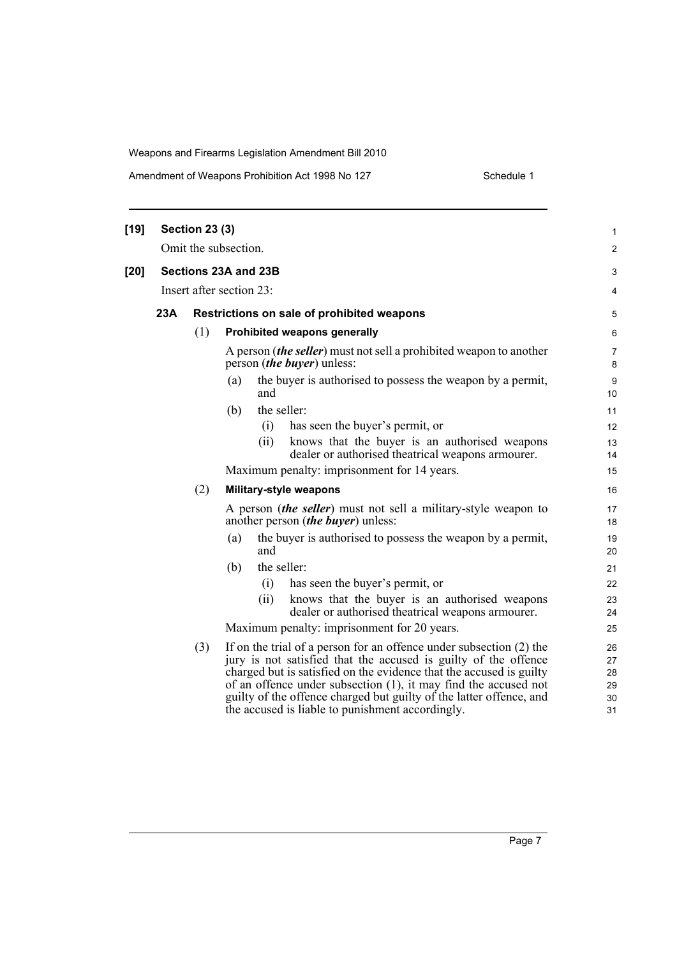| Amendment of Weapons Prohibition Act 1998 No 127 |  |
|--------------------------------------------------|--|
|--------------------------------------------------|--|

Schedule 1

| [19] |     | <b>Section 23 (3)</b> |                                                                                                                                                                                                                                                                                                                                                         | $\mathbf{1}$               |
|------|-----|-----------------------|---------------------------------------------------------------------------------------------------------------------------------------------------------------------------------------------------------------------------------------------------------------------------------------------------------------------------------------------------------|----------------------------|
|      |     |                       | Omit the subsection.                                                                                                                                                                                                                                                                                                                                    | 2                          |
| [20] |     |                       | Sections 23A and 23B                                                                                                                                                                                                                                                                                                                                    | 3                          |
|      |     |                       | Insert after section 23:                                                                                                                                                                                                                                                                                                                                | 4                          |
|      | 23A |                       | Restrictions on sale of prohibited weapons                                                                                                                                                                                                                                                                                                              | 5                          |
|      |     | (1)                   | Prohibited weapons generally                                                                                                                                                                                                                                                                                                                            | 6                          |
|      |     |                       | A person <i>(the seller)</i> must not sell a prohibited weapon to another<br>person <i>(the buyer)</i> unless:                                                                                                                                                                                                                                          | $\overline{7}$<br>8        |
|      |     |                       | the buyer is authorised to possess the weapon by a permit,<br>(a)<br>and                                                                                                                                                                                                                                                                                | $\boldsymbol{9}$<br>10     |
|      |     |                       | the seller:<br>(b)                                                                                                                                                                                                                                                                                                                                      | 11                         |
|      |     |                       | has seen the buyer's permit, or<br>(i)                                                                                                                                                                                                                                                                                                                  | 12                         |
|      |     |                       | knows that the buyer is an authorised weapons<br>(ii)<br>dealer or authorised theatrical weapons armourer.                                                                                                                                                                                                                                              | 13<br>14                   |
|      |     |                       | Maximum penalty: imprisonment for 14 years.                                                                                                                                                                                                                                                                                                             | 15                         |
|      |     | (2)                   | Military-style weapons                                                                                                                                                                                                                                                                                                                                  | 16                         |
|      |     |                       | A person <i>(the seller)</i> must not sell a military-style weapon to<br>another person <i>(the buyer)</i> unless:                                                                                                                                                                                                                                      | 17<br>18                   |
|      |     |                       | the buyer is authorised to possess the weapon by a permit,<br>(a)<br>and                                                                                                                                                                                                                                                                                | 19<br>20                   |
|      |     |                       | the seller:<br>(b)                                                                                                                                                                                                                                                                                                                                      | 21                         |
|      |     |                       | has seen the buyer's permit, or<br>(i)                                                                                                                                                                                                                                                                                                                  | 22                         |
|      |     |                       | knows that the buyer is an authorised weapons<br>(ii)<br>dealer or authorised theatrical weapons armourer.                                                                                                                                                                                                                                              | 23<br>24                   |
|      |     |                       | Maximum penalty: imprisonment for 20 years.                                                                                                                                                                                                                                                                                                             | 25                         |
|      |     | (3)                   | If on the trial of a person for an offence under subsection (2) the<br>jury is not satisfied that the accused is guilty of the offence<br>charged but is satisfied on the evidence that the accused is guilty<br>of an offence under subsection (1), it may find the accused not<br>guilty of the offence charged but guilty of the latter offence, and | 26<br>27<br>28<br>29<br>30 |
|      |     |                       | the accused is liable to punishment accordingly.                                                                                                                                                                                                                                                                                                        | 31                         |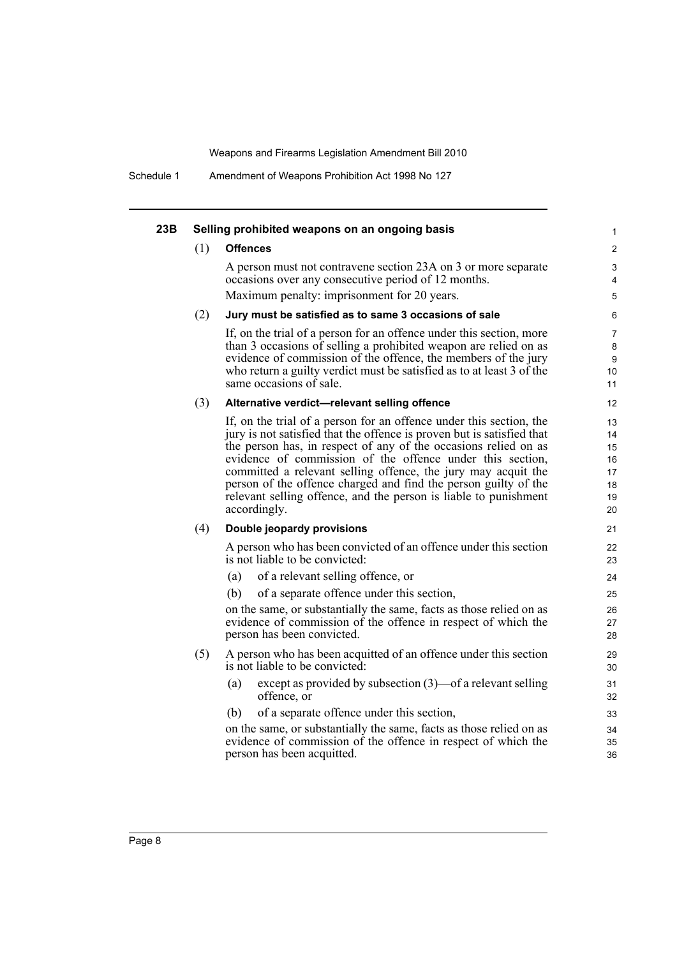Schedule 1 Amendment of Weapons Prohibition Act 1998 No 127

| 23B |     | Selling prohibited weapons on an ongoing basis                                                                                                                                                                                                                                                                                                                                                                                                                                                        | $\mathbf{1}$                                 |
|-----|-----|-------------------------------------------------------------------------------------------------------------------------------------------------------------------------------------------------------------------------------------------------------------------------------------------------------------------------------------------------------------------------------------------------------------------------------------------------------------------------------------------------------|----------------------------------------------|
|     | (1) | <b>Offences</b>                                                                                                                                                                                                                                                                                                                                                                                                                                                                                       | 2                                            |
|     |     | A person must not contravene section 23A on 3 or more separate<br>occasions over any consecutive period of 12 months.<br>Maximum penalty: imprisonment for 20 years.                                                                                                                                                                                                                                                                                                                                  | 3<br>4                                       |
|     |     |                                                                                                                                                                                                                                                                                                                                                                                                                                                                                                       | 5                                            |
|     | (2) | Jury must be satisfied as to same 3 occasions of sale                                                                                                                                                                                                                                                                                                                                                                                                                                                 | 6                                            |
|     |     | If, on the trial of a person for an offence under this section, more<br>than 3 occasions of selling a prohibited weapon are relied on as<br>evidence of commission of the offence, the members of the jury<br>who return a guilty verdict must be satisfied as to at least 3 of the<br>same occasions of sale.                                                                                                                                                                                        | 7<br>8<br>9<br>10<br>11                      |
|     | (3) | Alternative verdict-relevant selling offence                                                                                                                                                                                                                                                                                                                                                                                                                                                          | 12                                           |
|     |     | If, on the trial of a person for an offence under this section, the<br>jury is not satisfied that the offence is proven but is satisfied that<br>the person has, in respect of any of the occasions relied on as<br>evidence of commission of the offence under this section,<br>committed a relevant selling offence, the jury may acquit the<br>person of the offence charged and find the person guilty of the<br>relevant selling offence, and the person is liable to punishment<br>accordingly. | 13<br>14<br>15<br>16<br>17<br>18<br>19<br>20 |
|     | (4) | Double jeopardy provisions                                                                                                                                                                                                                                                                                                                                                                                                                                                                            | 21                                           |
|     |     | A person who has been convicted of an offence under this section<br>is not liable to be convicted:                                                                                                                                                                                                                                                                                                                                                                                                    | 22<br>23                                     |
|     |     | of a relevant selling offence, or<br>(a)                                                                                                                                                                                                                                                                                                                                                                                                                                                              | 24                                           |
|     |     | of a separate offence under this section,<br>(b)                                                                                                                                                                                                                                                                                                                                                                                                                                                      | 25                                           |
|     |     | on the same, or substantially the same, facts as those relied on as<br>evidence of commission of the offence in respect of which the<br>person has been convicted.                                                                                                                                                                                                                                                                                                                                    | 26<br>27<br>28                               |
|     | (5) | A person who has been acquitted of an offence under this section<br>is not liable to be convicted:                                                                                                                                                                                                                                                                                                                                                                                                    | 29<br>30                                     |
|     |     | except as provided by subsection (3)—of a relevant selling<br>(a)<br>offence, or                                                                                                                                                                                                                                                                                                                                                                                                                      | 31<br>32                                     |
|     |     | of a separate offence under this section,<br>(b)                                                                                                                                                                                                                                                                                                                                                                                                                                                      | 33                                           |
|     |     | on the same, or substantially the same, facts as those relied on as<br>evidence of commission of the offence in respect of which the<br>person has been acquitted.                                                                                                                                                                                                                                                                                                                                    | 34<br>35<br>36                               |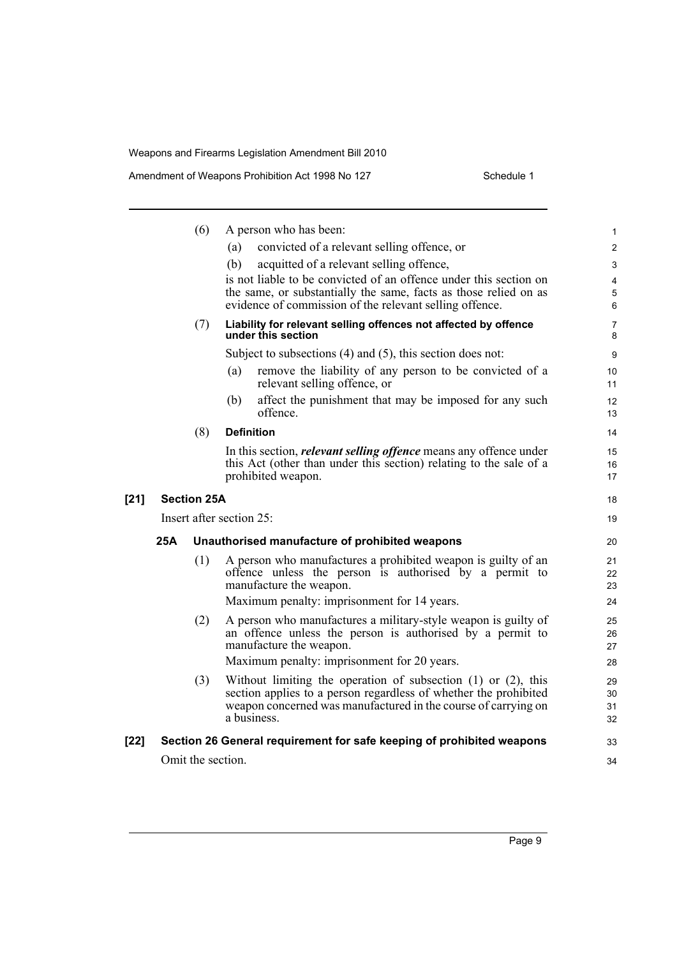|        |     | (6)                | A person who has been:                                                                                                             | $\mathbf{1}$   |
|--------|-----|--------------------|------------------------------------------------------------------------------------------------------------------------------------|----------------|
|        |     |                    | convicted of a relevant selling offence, or<br>(a)                                                                                 | $\overline{2}$ |
|        |     |                    | acquitted of a relevant selling offence,<br>(b)                                                                                    | 3              |
|        |     |                    | is not liable to be convicted of an offence under this section on                                                                  | $\overline{4}$ |
|        |     |                    | the same, or substantially the same, facts as those relied on as<br>evidence of commission of the relevant selling offence.        | 5<br>6         |
|        |     | (7)                | Liability for relevant selling offences not affected by offence<br>under this section                                              | 7<br>8         |
|        |     |                    | Subject to subsections $(4)$ and $(5)$ , this section does not:                                                                    | 9              |
|        |     |                    | (a)<br>remove the liability of any person to be convicted of a<br>relevant selling offence, or                                     | 10<br>11       |
|        |     |                    | affect the punishment that may be imposed for any such<br>(b)<br>offence.                                                          | 12<br>13       |
|        |     | (8)                | <b>Definition</b>                                                                                                                  | 14             |
|        |     |                    | In this section, <i>relevant selling offence</i> means any offence under                                                           | 15             |
|        |     |                    | this Act (other than under this section) relating to the sale of a<br>prohibited weapon.                                           | 16<br>17       |
| $[21]$ |     | <b>Section 25A</b> |                                                                                                                                    | 18             |
|        |     |                    | Insert after section 25:                                                                                                           | 19             |
|        | 25A |                    | Unauthorised manufacture of prohibited weapons                                                                                     | 20             |
|        |     | (1)                | A person who manufactures a prohibited weapon is guilty of an                                                                      | 21             |
|        |     |                    | offence unless the person is authorised by a permit to<br>manufacture the weapon.                                                  | 22<br>23       |
|        |     |                    | Maximum penalty: imprisonment for 14 years.                                                                                        | 24             |
|        |     | (2)                | A person who manufactures a military-style weapon is guilty of                                                                     | 25             |
|        |     |                    | an offence unless the person is authorised by a permit to                                                                          | 26             |
|        |     |                    | manufacture the weapon.                                                                                                            | 27             |
|        |     |                    | Maximum penalty: imprisonment for 20 years.                                                                                        | 28             |
|        |     | (3)                | Without limiting the operation of subsection $(1)$ or $(2)$ , this                                                                 | 29             |
|        |     |                    | section applies to a person regardless of whether the prohibited<br>weapon concerned was manufactured in the course of carrying on | 30<br>31       |
|        |     |                    | a business.                                                                                                                        | 32             |
| $[22]$ |     |                    | Section 26 General requirement for safe keeping of prohibited weapons                                                              | 33             |
|        |     | Omit the section.  |                                                                                                                                    | 34             |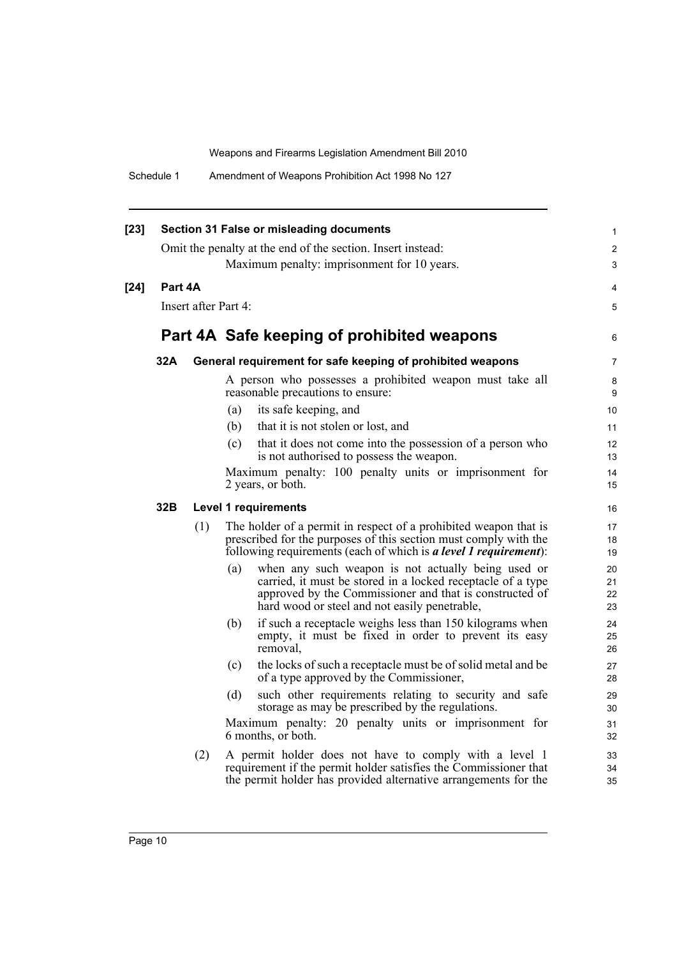| $[23]$ |         |                      | Section 31 False or misleading documents                                                                                                                                                                                             | 1                    |
|--------|---------|----------------------|--------------------------------------------------------------------------------------------------------------------------------------------------------------------------------------------------------------------------------------|----------------------|
|        |         |                      | Omit the penalty at the end of the section. Insert instead:<br>Maximum penalty: imprisonment for 10 years.                                                                                                                           | 2<br>3               |
|        |         |                      |                                                                                                                                                                                                                                      |                      |
| $[24]$ | Part 4A |                      |                                                                                                                                                                                                                                      | 4                    |
|        |         | Insert after Part 4: |                                                                                                                                                                                                                                      | 5                    |
|        |         |                      | Part 4A Safe keeping of prohibited weapons                                                                                                                                                                                           | 6                    |
|        | 32A     |                      | General requirement for safe keeping of prohibited weapons                                                                                                                                                                           | 7                    |
|        |         |                      | A person who possesses a prohibited weapon must take all<br>reasonable precautions to ensure:                                                                                                                                        | 8<br>9               |
|        |         |                      | its safe keeping, and<br>(a)                                                                                                                                                                                                         | 10                   |
|        |         |                      | that it is not stolen or lost, and<br>(b)                                                                                                                                                                                            | 11                   |
|        |         |                      | that it does not come into the possession of a person who<br>(c)<br>is not authorised to possess the weapon.                                                                                                                         | 12<br>13             |
|        |         |                      | Maximum penalty: 100 penalty units or imprisonment for<br>2 years, or both.                                                                                                                                                          | 14<br>15             |
|        | 32B     |                      | <b>Level 1 requirements</b>                                                                                                                                                                                                          | 16                   |
|        |         | (1)                  | The holder of a permit in respect of a prohibited weapon that is<br>prescribed for the purposes of this section must comply with the<br>following requirements (each of which is a level 1 requirement):                             | 17<br>18<br>19       |
|        |         |                      | when any such weapon is not actually being used or<br>(a)<br>carried, it must be stored in a locked receptacle of a type<br>approved by the Commissioner and that is constructed of<br>hard wood or steel and not easily penetrable, | 20<br>21<br>22<br>23 |
|        |         |                      | if such a receptacle weighs less than 150 kilograms when<br>(b)<br>empty, it must be fixed in order to prevent its easy<br>removal,                                                                                                  | 24<br>25<br>26       |
|        |         |                      | the locks of such a receptacle must be of solid metal and be<br>(c)<br>of a type approved by the Commissioner,                                                                                                                       | 27<br>28             |
|        |         |                      | such other requirements relating to security and safe<br>(d)<br>storage as may be prescribed by the regulations.                                                                                                                     | 29<br>30             |
|        |         |                      | Maximum penalty: 20 penalty units or imprisonment for<br>6 months, or both.                                                                                                                                                          | 31<br>32             |
|        |         | (2)                  | A permit holder does not have to comply with a level 1<br>requirement if the permit holder satisfies the Commissioner that<br>the permit holder has provided alternative arrangements for the                                        | 33<br>34<br>35       |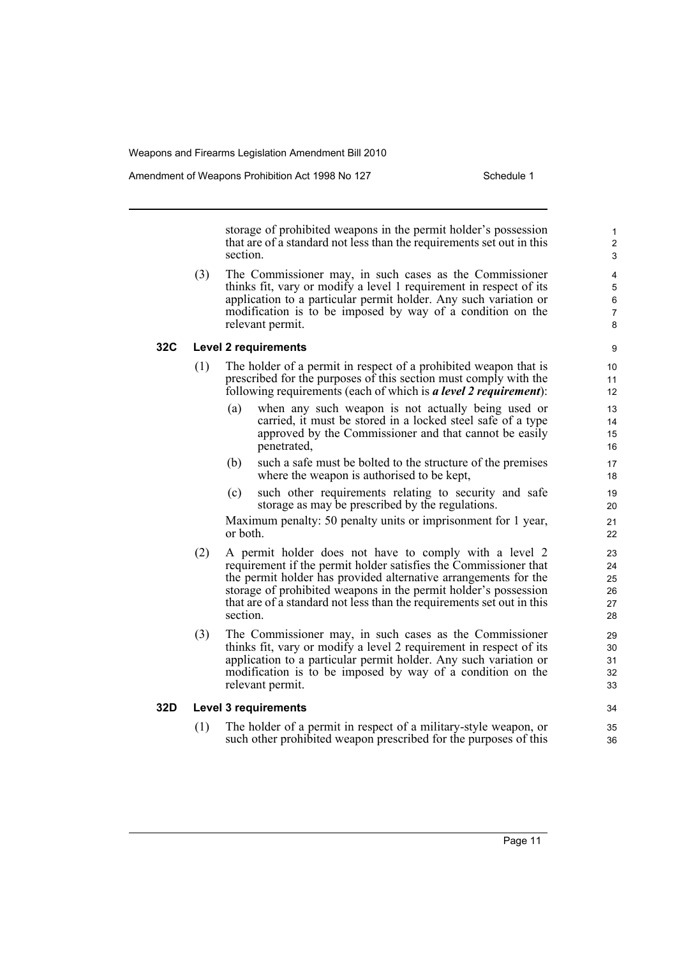Amendment of Weapons Prohibition Act 1998 No 127 Schedule 1

storage of prohibited weapons in the permit holder's possession that are of a standard not less than the requirements set out in this section.

(3) The Commissioner may, in such cases as the Commissioner thinks fit, vary or modify a level 1 requirement in respect of its application to a particular permit holder. Any such variation or modification is to be imposed by way of a condition on the relevant permit.

### **32C Level 2 requirements**

- (1) The holder of a permit in respect of a prohibited weapon that is prescribed for the purposes of this section must comply with the following requirements (each of which is *a level 2 requirement*):
	- (a) when any such weapon is not actually being used or carried, it must be stored in a locked steel safe of a type approved by the Commissioner and that cannot be easily penetrated,
	- (b) such a safe must be bolted to the structure of the premises where the weapon is authorised to be kept,
	- (c) such other requirements relating to security and safe storage as may be prescribed by the regulations.

Maximum penalty: 50 penalty units or imprisonment for 1 year, or both.

- (2) A permit holder does not have to comply with a level 2 requirement if the permit holder satisfies the Commissioner that the permit holder has provided alternative arrangements for the storage of prohibited weapons in the permit holder's possession that are of a standard not less than the requirements set out in this section.
- (3) The Commissioner may, in such cases as the Commissioner thinks fit, vary or modify a level 2 requirement in respect of its application to a particular permit holder. Any such variation or modification is to be imposed by way of a condition on the relevant permit.

#### **32D Level 3 requirements**

(1) The holder of a permit in respect of a military-style weapon, or such other prohibited weapon prescribed for the purposes of this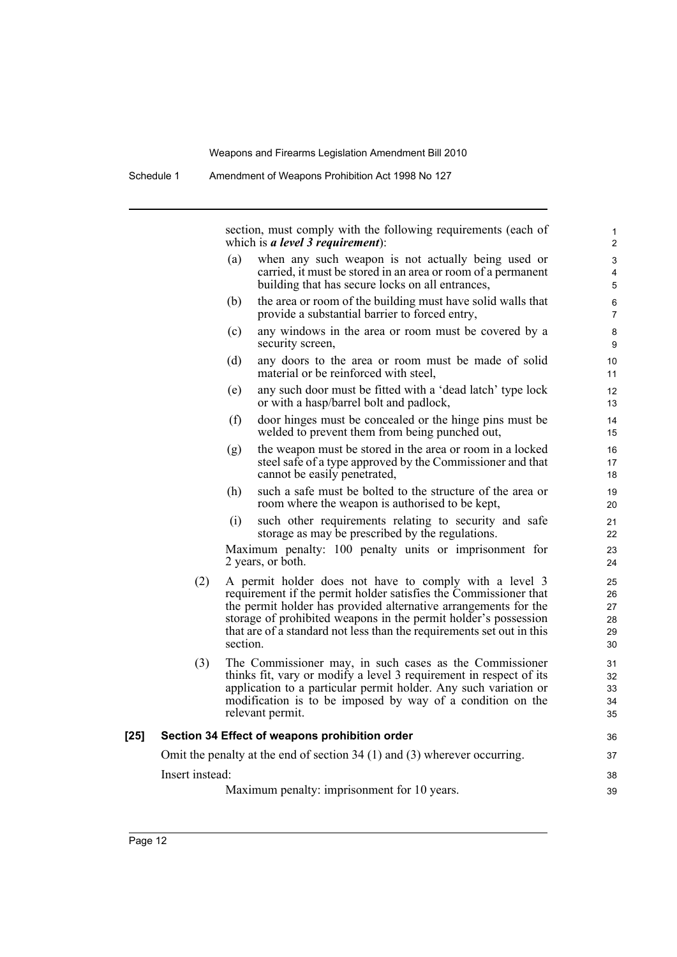Schedule 1 Amendment of Weapons Prohibition Act 1998 No 127

section, must comply with the following requirements (each of which is *a level 3 requirement*):

| (a) | when any such weapon is not actually being used or                                                                                                      |  |
|-----|---------------------------------------------------------------------------------------------------------------------------------------------------------|--|
|     | carried, it must be stored in an area or room of a permanent<br>building that has secure locks on all entrances,                                        |  |
| (b) | the area or room of the building must have solid walls that<br>$\mathbf{r}$ , and $\mathbf{r}$ , and $\mathbf{r}$ , and $\mathbf{r}$ , and $\mathbf{r}$ |  |

- provide a substantial barrier to forced entry, (c) any windows in the area or room must be covered by a security screen,
- (d) any doors to the area or room must be made of solid material or be reinforced with steel,
- (e) any such door must be fitted with a 'dead latch' type lock or with a hasp/barrel bolt and padlock,
- (f) door hinges must be concealed or the hinge pins must be welded to prevent them from being punched out,
- (g) the weapon must be stored in the area or room in a locked steel safe of a type approved by the Commissioner and that cannot be easily penetrated,
- (h) such a safe must be bolted to the structure of the area or room where the weapon is authorised to be kept,
- (i) such other requirements relating to security and safe storage as may be prescribed by the regulations.

Maximum penalty: 100 penalty units or imprisonment for 2 years, or both.

- (2) A permit holder does not have to comply with a level 3 requirement if the permit holder satisfies the Commissioner that the permit holder has provided alternative arrangements for the storage of prohibited weapons in the permit holder's possession that are of a standard not less than the requirements set out in this section.
- (3) The Commissioner may, in such cases as the Commissioner thinks fit, vary or modify a level 3 requirement in respect of its application to a particular permit holder. Any such variation or modification is to be imposed by way of a condition on the relevant permit.

## **[25] Section 34 Effect of weapons prohibition order**

Omit the penalty at the end of section 34 (1) and (3) wherever occurring. Insert instead:

Maximum penalty: imprisonment for 10 years.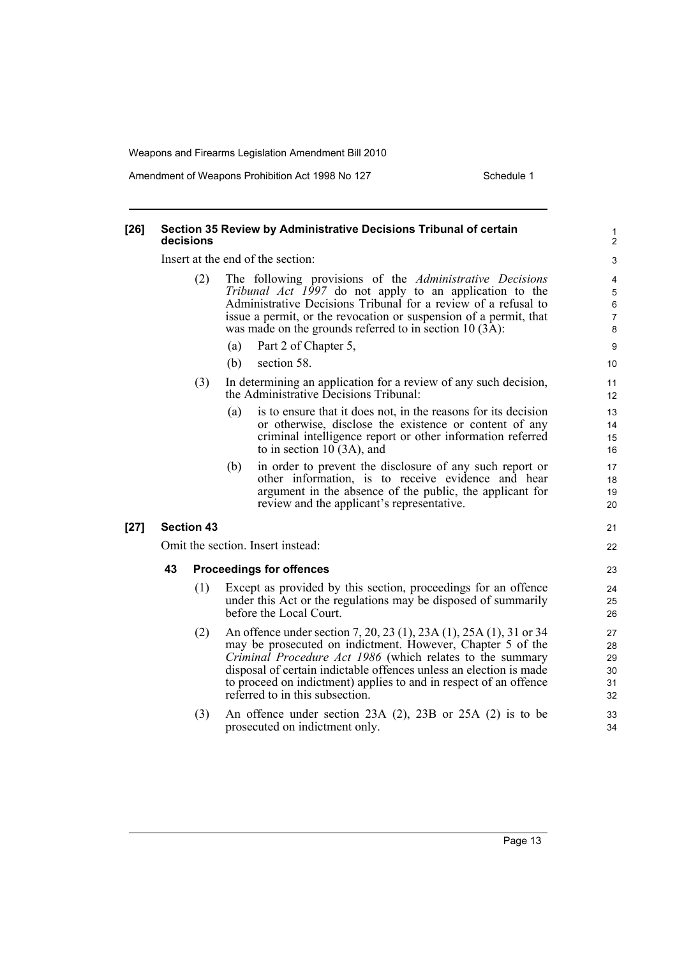Amendment of Weapons Prohibition Act 1998 No 127 Schedule 1

### **[26] Section 35 Review by Administrative Decisions Tribunal of certain decisions**

Insert at the end of the section:

- (2) The following provisions of the *Administrative Decisions Tribunal Act 1997* do not apply to an application to the Administrative Decisions Tribunal for a review of a refusal to issue a permit, or the revocation or suspension of a permit, that was made on the grounds referred to in section  $10(3\text{\AA})$ :
	- (a) Part 2 of Chapter 5,
	- (b) section 58.
- (3) In determining an application for a review of any such decision, the Administrative Decisions Tribunal:
	- (a) is to ensure that it does not, in the reasons for its decision or otherwise, disclose the existence or content of any criminal intelligence report or other information referred to in section 10 (3A), and
	- (b) in order to prevent the disclosure of any such report or other information, is to receive evidence and hear argument in the absence of the public, the applicant for review and the applicant's representative.

### **[27] Section 43**

Omit the section. Insert instead:

### **43 Proceedings for offences**

- (1) Except as provided by this section, proceedings for an offence under this Act or the regulations may be disposed of summarily before the Local Court.
- (2) An offence under section 7, 20, 23 (1), 23A (1), 25A (1), 31 or 34 may be prosecuted on indictment. However, Chapter 5 of the *Criminal Procedure Act 1986* (which relates to the summary disposal of certain indictable offences unless an election is made to proceed on indictment) applies to and in respect of an offence referred to in this subsection.
- (3) An offence under section 23A (2), 23B or 25A (2) is to be prosecuted on indictment only.

6 7 8

10 11

9

21 22

23 24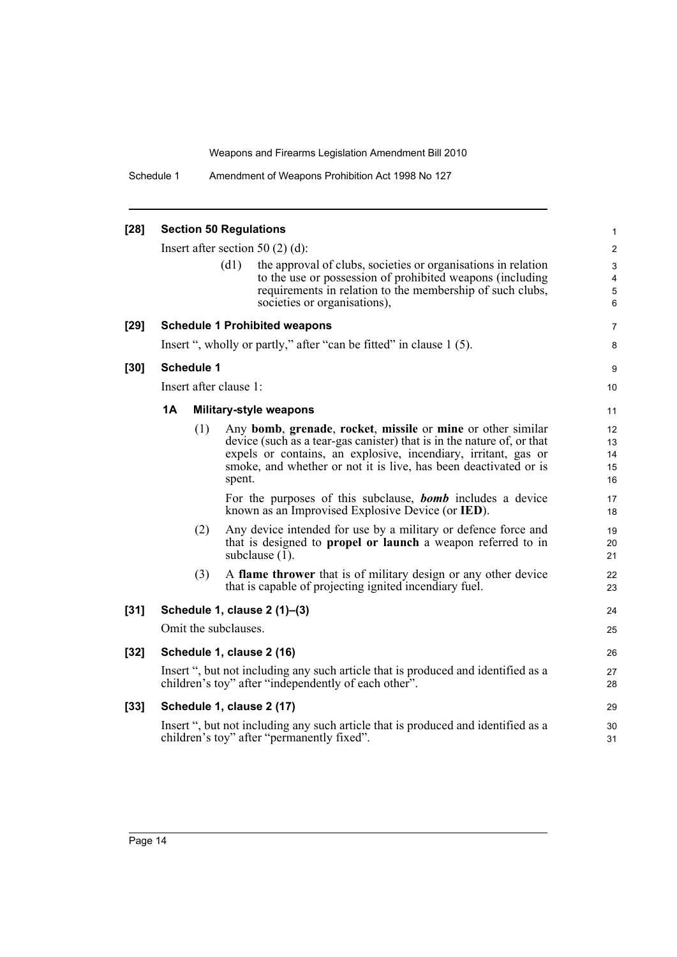Schedule 1 Amendment of Weapons Prohibition Act 1998 No 127

| $[28]$ |    |                   |                        | <b>Section 50 Regulations</b>                                                                                                                                                                                                                                               | $\mathbf{1}$               |
|--------|----|-------------------|------------------------|-----------------------------------------------------------------------------------------------------------------------------------------------------------------------------------------------------------------------------------------------------------------------------|----------------------------|
|        |    |                   |                        | Insert after section 50 $(2)$ $(d)$ :                                                                                                                                                                                                                                       | 2                          |
|        |    |                   | (d1)                   | the approval of clubs, societies or organisations in relation<br>to the use or possession of prohibited weapons (including<br>requirements in relation to the membership of such clubs,<br>societies or organisations),                                                     | 3<br>4<br>5<br>6           |
| $[29]$ |    |                   |                        | <b>Schedule 1 Prohibited weapons</b>                                                                                                                                                                                                                                        | 7                          |
|        |    |                   |                        | Insert ", wholly or partly," after "can be fitted" in clause 1 (5).                                                                                                                                                                                                         | 8                          |
| $[30]$ |    | <b>Schedule 1</b> |                        |                                                                                                                                                                                                                                                                             | 9                          |
|        |    |                   | Insert after clause 1: |                                                                                                                                                                                                                                                                             | 10                         |
|        | 1A |                   |                        | <b>Military-style weapons</b>                                                                                                                                                                                                                                               | 11                         |
|        |    | (1)               | spent.                 | Any bomb, grenade, rocket, missile or mine or other similar<br>device (such as a tear-gas canister) that is in the nature of, or that<br>expels or contains, an explosive, incendiary, irritant, gas or<br>smoke, and whether or not it is live, has been deactivated or is | 12<br>13<br>14<br>15<br>16 |
|        |    |                   |                        | For the purposes of this subclause, <b>bomb</b> includes a device<br>known as an Improvised Explosive Device (or IED).                                                                                                                                                      | 17<br>18                   |
|        |    | (2)               |                        | Any device intended for use by a military or defence force and<br>that is designed to <b>propel or launch</b> a weapon referred to in<br>subclause (1).                                                                                                                     | 19<br>20<br>21             |
|        |    | (3)               |                        | A flame thrower that is of military design or any other device<br>that is capable of projecting ignited incendiary fuel.                                                                                                                                                    | 22<br>23                   |
| $[31]$ |    |                   |                        | Schedule 1, clause 2 (1)-(3)                                                                                                                                                                                                                                                | 24                         |
|        |    |                   | Omit the subclauses.   |                                                                                                                                                                                                                                                                             | 25                         |
| $[32]$ |    |                   |                        | Schedule 1, clause 2 (16)                                                                                                                                                                                                                                                   | 26                         |
|        |    |                   |                        | Insert ", but not including any such article that is produced and identified as a<br>children's toy" after "independently of each other".                                                                                                                                   | 27<br>28                   |
| $[33]$ |    |                   |                        | Schedule 1, clause 2 (17)                                                                                                                                                                                                                                                   | 29                         |
|        |    |                   |                        | Insert ", but not including any such article that is produced and identified as a<br>children's toy" after "permanently fixed".                                                                                                                                             | 30<br>31                   |
|        |    |                   |                        |                                                                                                                                                                                                                                                                             |                            |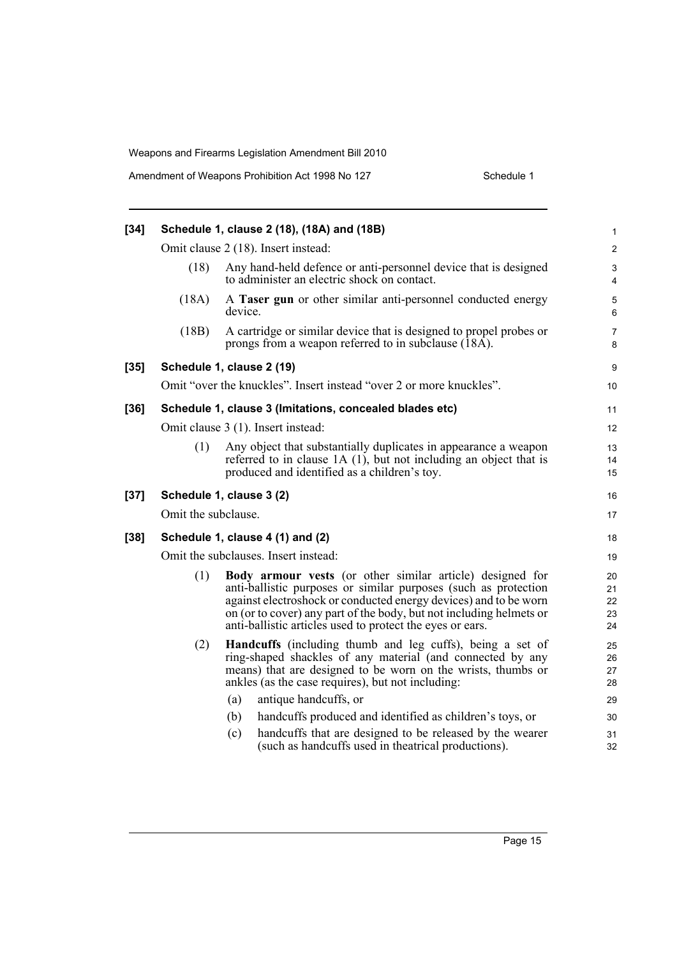| $[34]$ |                     | Schedule 1, clause 2 (18), (18A) and (18B)                                                                                                                                                                                                                                                                                           | 1                          |
|--------|---------------------|--------------------------------------------------------------------------------------------------------------------------------------------------------------------------------------------------------------------------------------------------------------------------------------------------------------------------------------|----------------------------|
|        |                     | Omit clause 2 (18). Insert instead:                                                                                                                                                                                                                                                                                                  | $\overline{2}$             |
|        | (18)                | Any hand-held defence or anti-personnel device that is designed<br>to administer an electric shock on contact.                                                                                                                                                                                                                       | 3<br>4                     |
|        | (18A)               | A Taser gun or other similar anti-personnel conducted energy<br>device.                                                                                                                                                                                                                                                              | 5<br>6                     |
|        | (18B)               | A cartridge or similar device that is designed to propel probes or<br>prongs from a weapon referred to in subclause (18A).                                                                                                                                                                                                           | $\overline{7}$<br>8        |
| $[35]$ |                     | Schedule 1, clause 2 (19)                                                                                                                                                                                                                                                                                                            | 9                          |
|        |                     | Omit "over the knuckles". Insert instead "over 2 or more knuckles".                                                                                                                                                                                                                                                                  | 10                         |
| $[36]$ |                     | Schedule 1, clause 3 (Imitations, concealed blades etc)                                                                                                                                                                                                                                                                              | 11                         |
|        |                     | Omit clause 3 (1). Insert instead:                                                                                                                                                                                                                                                                                                   | 12                         |
|        | (1)                 | Any object that substantially duplicates in appearance a weapon<br>referred to in clause $1A(1)$ , but not including an object that is<br>produced and identified as a children's toy.                                                                                                                                               | 13<br>14<br>15             |
| $[37]$ |                     | Schedule 1, clause 3 (2)                                                                                                                                                                                                                                                                                                             | 16                         |
|        | Omit the subclause. |                                                                                                                                                                                                                                                                                                                                      | 17                         |
| $[38]$ |                     | Schedule 1, clause 4 (1) and (2)                                                                                                                                                                                                                                                                                                     | 18                         |
|        |                     | Omit the subclauses. Insert instead:                                                                                                                                                                                                                                                                                                 | 19                         |
|        | (1)                 | Body armour vests (or other similar article) designed for<br>anti-ballistic purposes or similar purposes (such as protection<br>against electroshock or conducted energy devices) and to be worn<br>on (or to cover) any part of the body, but not including helmets or<br>anti-ballistic articles used to protect the eyes or ears. | 20<br>21<br>22<br>23<br>24 |
|        | (2)                 | <b>Handcuffs</b> (including thumb and leg cuffs), being a set of<br>ring-shaped shackles of any material (and connected by any<br>means) that are designed to be worn on the wrists, thumbs or<br>ankles (as the case requires), but not including:                                                                                  | 25<br>26<br>27<br>28       |
|        |                     | antique handcuffs, or<br>(a)                                                                                                                                                                                                                                                                                                         | 29                         |
|        |                     | handcuffs produced and identified as children's toys, or<br>(b)                                                                                                                                                                                                                                                                      | 30                         |
|        |                     | handcuffs that are designed to be released by the wearer<br>(c)<br>(such as handcuffs used in the atrical productions).                                                                                                                                                                                                              | 31<br>32                   |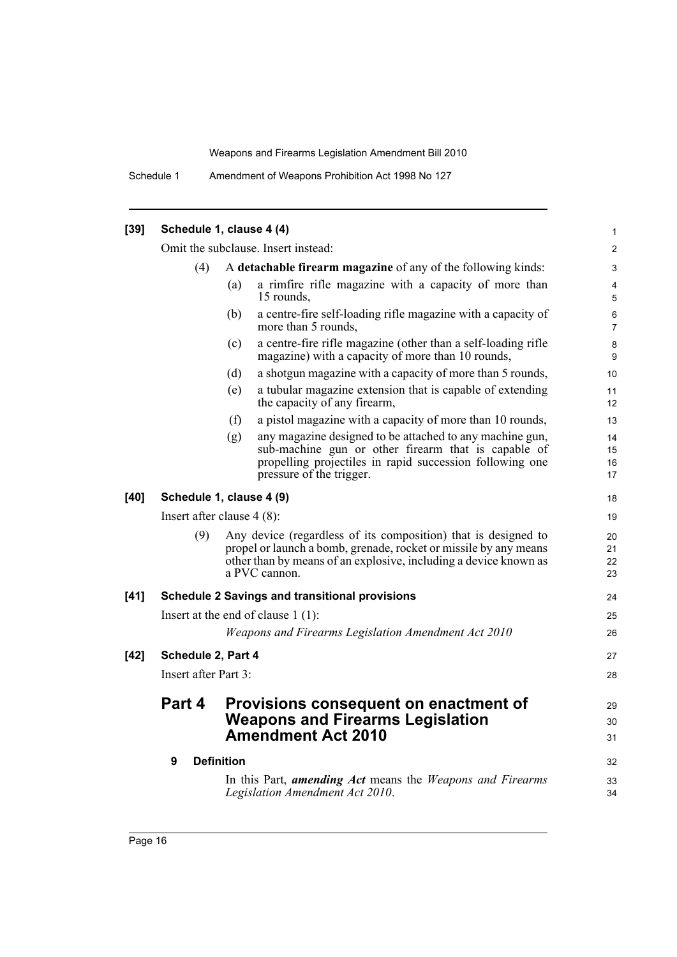Schedule 1 Amendment of Weapons Prohibition Act 1998 No 127

| $[39]$ |                                                                      | Schedule 1, clause 4 (4)                                                                                                                                                                                                | $\mathbf{1}$         |
|--------|----------------------------------------------------------------------|-------------------------------------------------------------------------------------------------------------------------------------------------------------------------------------------------------------------------|----------------------|
|        |                                                                      | Omit the subclause. Insert instead:                                                                                                                                                                                     | $\overline{2}$       |
|        | (4)                                                                  | A detachable firearm magazine of any of the following kinds:                                                                                                                                                            | 3                    |
|        |                                                                      | a rimfire rifle magazine with a capacity of more than<br>(a)<br>15 rounds,                                                                                                                                              | $\overline{4}$<br>5  |
|        |                                                                      | (b)<br>a centre-fire self-loading rifle magazine with a capacity of<br>more than 5 rounds,                                                                                                                              | 6<br>$\overline{7}$  |
|        |                                                                      | a centre-fire rifle magazine (other than a self-loading rifle<br>(c)<br>magazine) with a capacity of more than 10 rounds,                                                                                               | 8<br>9               |
|        |                                                                      | a shotgun magazine with a capacity of more than 5 rounds,<br>(d)                                                                                                                                                        | 10                   |
|        |                                                                      | a tubular magazine extension that is capable of extending<br>(e)<br>the capacity of any firearm,                                                                                                                        | 11<br>12             |
|        |                                                                      | a pistol magazine with a capacity of more than 10 rounds,<br>(f)                                                                                                                                                        | 13                   |
|        |                                                                      | any magazine designed to be attached to any machine gun,<br>(g)<br>sub-machine gun or other firearm that is capable of<br>propelling projectiles in rapid succession following one<br>pressure of the trigger.          | 14<br>15<br>16<br>17 |
| $[40]$ |                                                                      | Schedule 1, clause 4 (9)                                                                                                                                                                                                | 18                   |
|        |                                                                      | Insert after clause $4(8)$ :                                                                                                                                                                                            | 19                   |
|        | (9)                                                                  | Any device (regardless of its composition) that is designed to<br>propel or launch a bomb, grenade, rocket or missile by any means<br>other than by means of an explosive, including a device known as<br>a PVC cannon. | 20<br>21<br>22<br>23 |
| $[41]$ |                                                                      | <b>Schedule 2 Savings and transitional provisions</b>                                                                                                                                                                   | 24                   |
|        |                                                                      | Insert at the end of clause $1(1)$ :                                                                                                                                                                                    | 25                   |
|        |                                                                      | Weapons and Firearms Legislation Amendment Act 2010                                                                                                                                                                     | 26                   |
| $[42]$ | Schedule 2, Part 4                                                   |                                                                                                                                                                                                                         | 27                   |
|        | Insert after Part 3:                                                 |                                                                                                                                                                                                                         | 28                   |
|        | Part 4                                                               | Provisions consequent on enactment of                                                                                                                                                                                   | 29                   |
|        | <b>Weapons and Firearms Legislation</b><br><b>Amendment Act 2010</b> |                                                                                                                                                                                                                         | 30<br>31             |
|        | 9                                                                    | <b>Definition</b>                                                                                                                                                                                                       | 32                   |
|        |                                                                      | In this Part, <b>amending Act</b> means the <i>Weapons and Firearms</i><br>Legislation Amendment Act 2010.                                                                                                              | 33<br>34             |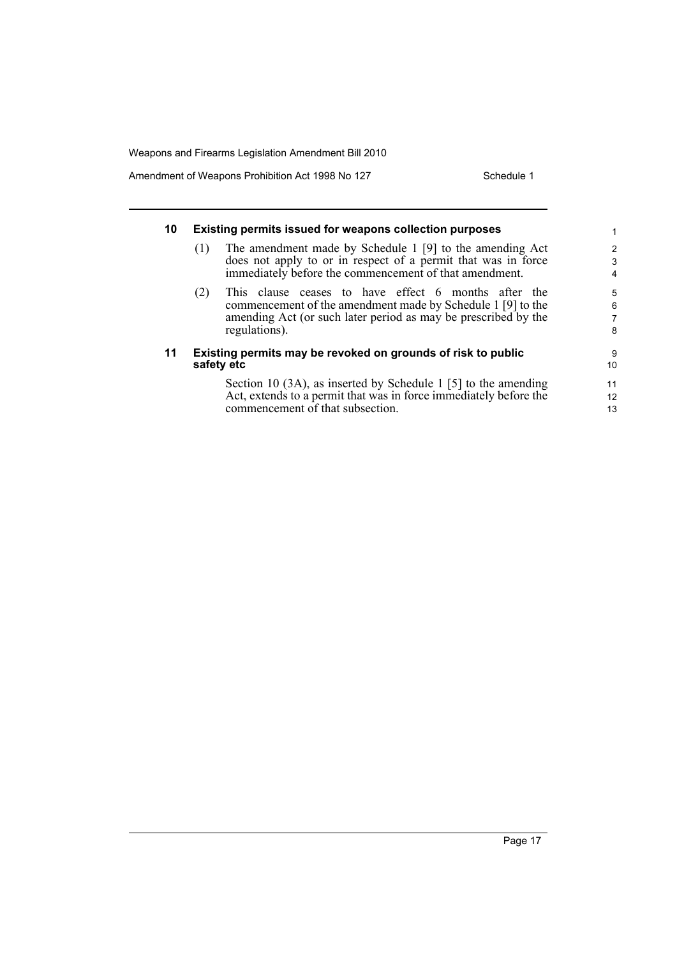Amendment of Weapons Prohibition Act 1998 No 127 Schedule 1

#### **10 Existing permits issued for weapons collection purposes** (1) The amendment made by Schedule 1 [9] to the amending Act does not apply to or in respect of a permit that was in force immediately before the commencement of that amendment. (2) This clause ceases to have effect 6 months after the commencement of the amendment made by Schedule 1 [9] to the amending Act (or such later period as may be prescribed by the regulations). **11 Existing permits may be revoked on grounds of risk to public safety etc** Section 10 (3A), as inserted by Schedule 1 [5] to the amending Act, extends to a permit that was in force immediately before the 1 2 3 4 5 6 7 8 9 10 11 12 13

commencement of that subsection.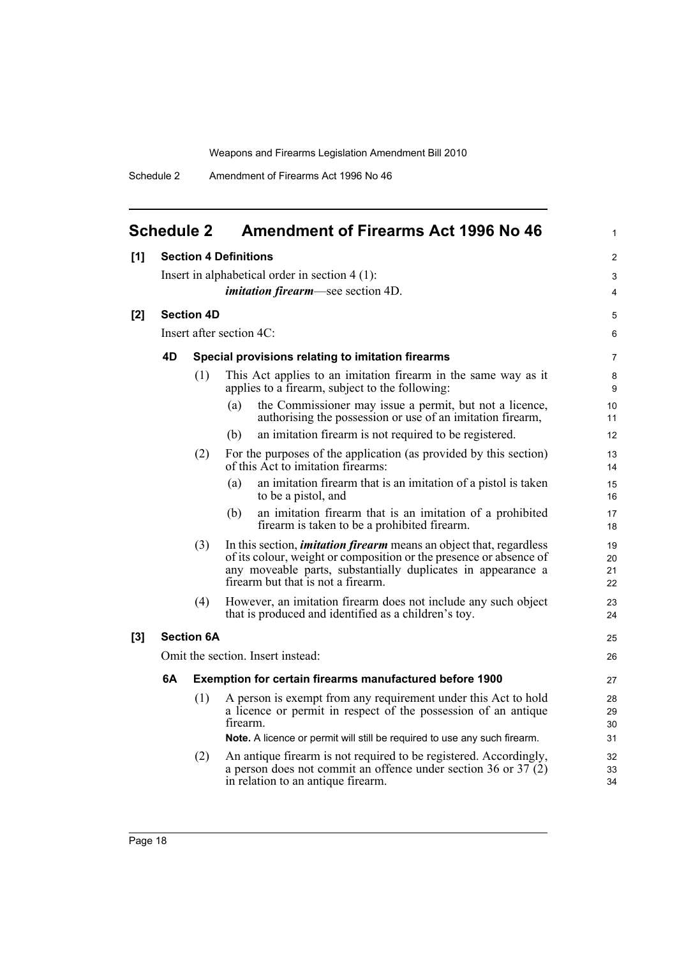<span id="page-27-0"></span>

| <b>Schedule 2</b>                                                                                                                                                                                                                                             |     | <b>Amendment of Firearms Act 1996 No 46</b>                                                                                                  | $\mathbf{1}$                                                                                                                                                                                                                                                                                                                                                                                                     |
|---------------------------------------------------------------------------------------------------------------------------------------------------------------------------------------------------------------------------------------------------------------|-----|----------------------------------------------------------------------------------------------------------------------------------------------|------------------------------------------------------------------------------------------------------------------------------------------------------------------------------------------------------------------------------------------------------------------------------------------------------------------------------------------------------------------------------------------------------------------|
| [1]                                                                                                                                                                                                                                                           |     |                                                                                                                                              | $\overline{2}$                                                                                                                                                                                                                                                                                                                                                                                                   |
| Insert in alphabetical order in section $4(1)$ :                                                                                                                                                                                                              |     |                                                                                                                                              |                                                                                                                                                                                                                                                                                                                                                                                                                  |
|                                                                                                                                                                                                                                                               |     | <i>imitation firearm</i> —see section 4D.                                                                                                    | $\overline{4}$                                                                                                                                                                                                                                                                                                                                                                                                   |
|                                                                                                                                                                                                                                                               |     |                                                                                                                                              | 5                                                                                                                                                                                                                                                                                                                                                                                                                |
|                                                                                                                                                                                                                                                               |     |                                                                                                                                              | 6                                                                                                                                                                                                                                                                                                                                                                                                                |
| 4D                                                                                                                                                                                                                                                            |     |                                                                                                                                              | $\overline{7}$                                                                                                                                                                                                                                                                                                                                                                                                   |
|                                                                                                                                                                                                                                                               | (1) | This Act applies to an imitation firearm in the same way as it<br>applies to a firearm, subject to the following:                            | 8<br>9                                                                                                                                                                                                                                                                                                                                                                                                           |
|                                                                                                                                                                                                                                                               |     | the Commissioner may issue a permit, but not a licence,<br>(a)<br>authorising the possession or use of an imitation firearm,                 | 10<br>11                                                                                                                                                                                                                                                                                                                                                                                                         |
|                                                                                                                                                                                                                                                               |     | an imitation firearm is not required to be registered.<br>(b)                                                                                | 12                                                                                                                                                                                                                                                                                                                                                                                                               |
|                                                                                                                                                                                                                                                               | (2) | For the purposes of the application (as provided by this section)<br>of this Act to imitation firearms:                                      | 13<br>14                                                                                                                                                                                                                                                                                                                                                                                                         |
|                                                                                                                                                                                                                                                               |     | an imitation firearm that is an imitation of a pistol is taken<br>(a)<br>to be a pistol, and                                                 | 15<br>16                                                                                                                                                                                                                                                                                                                                                                                                         |
|                                                                                                                                                                                                                                                               |     | an imitation firearm that is an imitation of a prohibited<br>(b)<br>firearm is taken to be a prohibited firearm.                             | 17<br>18                                                                                                                                                                                                                                                                                                                                                                                                         |
| (3)<br>In this section, <i>imitation firearm</i> means an object that, regardless<br>of its colour, weight or composition or the presence or absence of<br>any moveable parts, substantially duplicates in appearance a<br>firearm but that is not a firearm. |     | 19<br>20<br>21<br>22                                                                                                                         |                                                                                                                                                                                                                                                                                                                                                                                                                  |
|                                                                                                                                                                                                                                                               | (4) | However, an imitation firearm does not include any such object<br>that is produced and identified as a children's toy.                       | 23<br>24                                                                                                                                                                                                                                                                                                                                                                                                         |
|                                                                                                                                                                                                                                                               |     |                                                                                                                                              | 25                                                                                                                                                                                                                                                                                                                                                                                                               |
|                                                                                                                                                                                                                                                               |     |                                                                                                                                              | 26                                                                                                                                                                                                                                                                                                                                                                                                               |
| 6A                                                                                                                                                                                                                                                            |     |                                                                                                                                              | 27                                                                                                                                                                                                                                                                                                                                                                                                               |
|                                                                                                                                                                                                                                                               | (1) | A person is exempt from any requirement under this Act to hold<br>a licence or permit in respect of the possession of an antique<br>firearm. | 28<br>29<br>30                                                                                                                                                                                                                                                                                                                                                                                                   |
|                                                                                                                                                                                                                                                               |     |                                                                                                                                              | 31                                                                                                                                                                                                                                                                                                                                                                                                               |
|                                                                                                                                                                                                                                                               |     | a person does not commit an offence under section 36 or $37(2)$<br>in relation to an antique firearm.                                        | 32<br>33<br>34                                                                                                                                                                                                                                                                                                                                                                                                   |
|                                                                                                                                                                                                                                                               |     | (2)                                                                                                                                          | <b>Section 4 Definitions</b><br><b>Section 4D</b><br>Insert after section 4C:<br>Special provisions relating to imitation firearms<br><b>Section 6A</b><br>Omit the section. Insert instead:<br><b>Exemption for certain firearms manufactured before 1900</b><br>Note. A licence or permit will still be required to use any such firearm.<br>An antique firearm is not required to be registered. Accordingly, |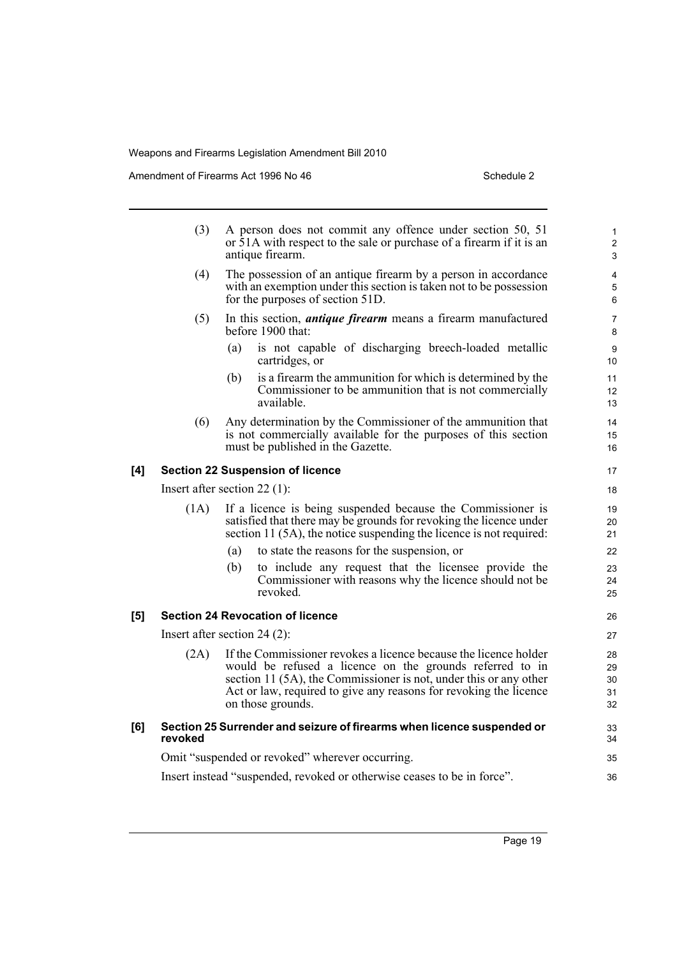Amendment of Firearms Act 1996 No 46 Schedule 2 Schedule 2

|     | (3)                            |     | A person does not commit any offence under section 50, 51<br>or 51A with respect to the sale or purchase of a firearm if it is an<br>antique firearm.                                                                                                                                       | $\mathbf{1}$<br>$\overline{c}$<br>3 |
|-----|--------------------------------|-----|---------------------------------------------------------------------------------------------------------------------------------------------------------------------------------------------------------------------------------------------------------------------------------------------|-------------------------------------|
|     | (4)                            |     | The possession of an antique firearm by a person in accordance<br>with an exemption under this section is taken not to be possession<br>for the purposes of section 51D.                                                                                                                    | 4<br>5<br>6                         |
|     | (5)                            |     | In this section, <i>antique firearm</i> means a firearm manufactured<br>before 1900 that:                                                                                                                                                                                                   | 7<br>8                              |
|     |                                | (a) | is not capable of discharging breech-loaded metallic<br>cartridges, or                                                                                                                                                                                                                      | 9<br>10                             |
|     |                                | (b) | is a firearm the ammunition for which is determined by the<br>Commissioner to be ammunition that is not commercially<br>available.                                                                                                                                                          | 11<br>12<br>13                      |
|     | (6)                            |     | Any determination by the Commissioner of the ammunition that<br>is not commercially available for the purposes of this section<br>must be published in the Gazette.                                                                                                                         | 14<br>15<br>16                      |
| [4] |                                |     | <b>Section 22 Suspension of licence</b>                                                                                                                                                                                                                                                     | 17                                  |
|     | Insert after section $22$ (1): |     |                                                                                                                                                                                                                                                                                             | 18                                  |
|     | (1A)                           |     | If a licence is being suspended because the Commissioner is<br>satisfied that there may be grounds for revoking the licence under<br>section 11 (5A), the notice suspending the licence is not required:                                                                                    | 19<br>20<br>21                      |
|     |                                | (a) | to state the reasons for the suspension, or                                                                                                                                                                                                                                                 | 22                                  |
|     |                                | (b) | to include any request that the licensee provide the<br>Commissioner with reasons why the licence should not be.<br>revoked.                                                                                                                                                                | 23<br>24<br>25                      |
| [5] |                                |     | <b>Section 24 Revocation of licence</b>                                                                                                                                                                                                                                                     | 26                                  |
|     | Insert after section $24(2)$ : |     |                                                                                                                                                                                                                                                                                             | 27                                  |
|     | (2A)                           |     | If the Commissioner revokes a licence because the licence holder<br>would be refused a licence on the grounds referred to in<br>section 11 (5A), the Commissioner is not, under this or any other<br>Act or law, required to give any reasons for revoking the licence<br>on those grounds. | 28<br>29<br>30<br>31<br>32          |
| [6] | revoked                        |     | Section 25 Surrender and seizure of firearms when licence suspended or                                                                                                                                                                                                                      | 33<br>34                            |
|     |                                |     | Omit "suspended or revoked" wherever occurring.                                                                                                                                                                                                                                             | 35                                  |
|     |                                |     | Insert instead "suspended, revoked or otherwise ceases to be in force".                                                                                                                                                                                                                     | 36                                  |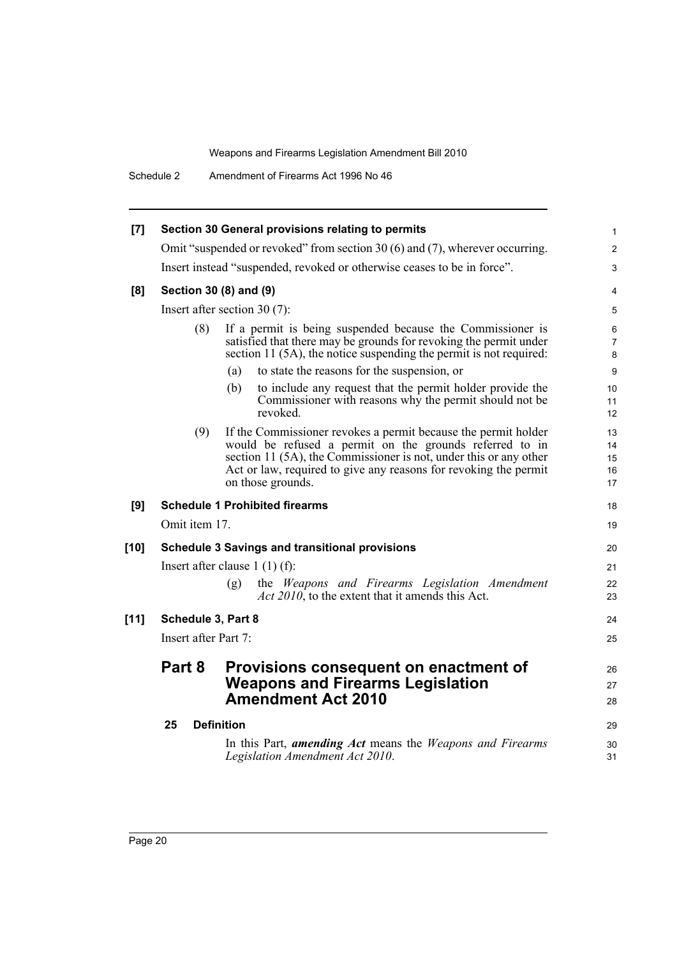Schedule 2 Amendment of Firearms Act 1996 No 46

|                      | Section 30 General provisions relating to permits                                                                                                                                                                                                                                       | 1                                                                                                                                                                                                                   |
|----------------------|-----------------------------------------------------------------------------------------------------------------------------------------------------------------------------------------------------------------------------------------------------------------------------------------|---------------------------------------------------------------------------------------------------------------------------------------------------------------------------------------------------------------------|
|                      |                                                                                                                                                                                                                                                                                         | $\overline{2}$                                                                                                                                                                                                      |
|                      |                                                                                                                                                                                                                                                                                         | 3                                                                                                                                                                                                                   |
|                      |                                                                                                                                                                                                                                                                                         | 4                                                                                                                                                                                                                   |
|                      |                                                                                                                                                                                                                                                                                         | 5                                                                                                                                                                                                                   |
| (8)                  | If a permit is being suspended because the Commissioner is<br>satisfied that there may be grounds for revoking the permit under<br>section 11 (5A), the notice suspending the permit is not required:                                                                                   | 6<br>$\overline{7}$<br>8                                                                                                                                                                                            |
|                      | to state the reasons for the suspension, or<br>(a)                                                                                                                                                                                                                                      | 9                                                                                                                                                                                                                   |
|                      | (b)<br>to include any request that the permit holder provide the<br>Commissioner with reasons why the permit should not be.<br>revoked.                                                                                                                                                 | 10<br>11<br>12                                                                                                                                                                                                      |
| (9)                  | If the Commissioner revokes a permit because the permit holder<br>would be refused a permit on the grounds referred to in<br>section 11 (5A), the Commissioner is not, under this or any other<br>Act or law, required to give any reasons for revoking the permit<br>on those grounds. | 13<br>14<br>15<br>16<br>17                                                                                                                                                                                          |
|                      |                                                                                                                                                                                                                                                                                         |                                                                                                                                                                                                                     |
|                      | <b>Schedule 1 Prohibited firearms</b>                                                                                                                                                                                                                                                   | 18                                                                                                                                                                                                                  |
| Omit item 17.        |                                                                                                                                                                                                                                                                                         | 19                                                                                                                                                                                                                  |
|                      | <b>Schedule 3 Savings and transitional provisions</b>                                                                                                                                                                                                                                   | 20                                                                                                                                                                                                                  |
|                      | Insert after clause $1(1)(f)$ :                                                                                                                                                                                                                                                         | 21                                                                                                                                                                                                                  |
|                      | (g)<br>the Weapons and Firearms Legislation Amendment<br><i>Act 2010</i> , to the extent that it amends this Act.                                                                                                                                                                       | 22<br>23                                                                                                                                                                                                            |
| Schedule 3, Part 8   |                                                                                                                                                                                                                                                                                         | 24                                                                                                                                                                                                                  |
| Insert after Part 7: |                                                                                                                                                                                                                                                                                         | 25                                                                                                                                                                                                                  |
| Part 8               | Provisions consequent on enactment of<br><b>Weapons and Firearms Legislation</b><br><b>Amendment Act 2010</b>                                                                                                                                                                           | 26<br>27<br>28                                                                                                                                                                                                      |
| 25                   | <b>Definition</b>                                                                                                                                                                                                                                                                       | 29                                                                                                                                                                                                                  |
|                      |                                                                                                                                                                                                                                                                                         | Omit "suspended or revoked" from section 30 (6) and (7), wherever occurring.<br>Insert instead "suspended, revoked or otherwise ceases to be in force".<br>Section 30 (8) and (9)<br>Insert after section $30(7)$ : |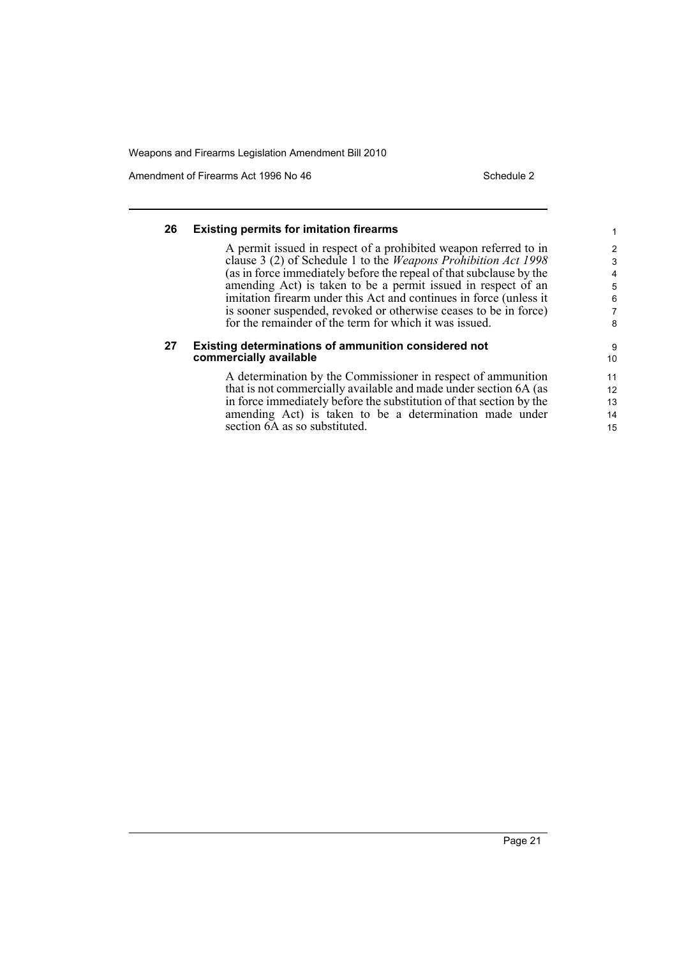section  $6A$  as so substituted.

Amendment of Firearms Act 1996 No 46 Schedule 2

15

#### **26 Existing permits for imitation firearms** A permit issued in respect of a prohibited weapon referred to in clause 3 (2) of Schedule 1 to the *Weapons Prohibition Act 1998* (as in force immediately before the repeal of that subclause by the amending Act) is taken to be a permit issued in respect of an imitation firearm under this Act and continues in force (unless it is sooner suspended, revoked or otherwise ceases to be in force) for the remainder of the term for which it was issued. **27 Existing determinations of ammunition considered not commercially available** A determination by the Commissioner in respect of ammunition that is not commercially available and made under section 6A (as in force immediately before the substitution of that section by the amending Act) is taken to be a determination made under 1 2 3 4 5 6 7 8 9 10 11 12 13 14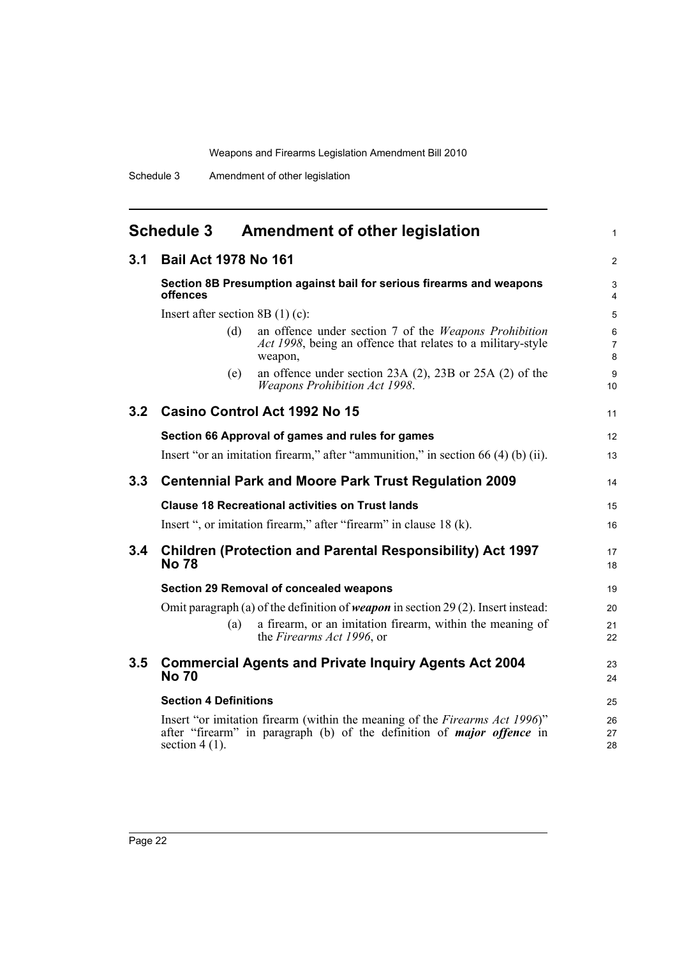## **Schedule 3 Amendment of other legislation**

<span id="page-31-0"></span>

|                  | Schedule 3                         | Amendment of other legislation                                                                                                                               | $\mathbf{1}$    |  |
|------------------|------------------------------------|--------------------------------------------------------------------------------------------------------------------------------------------------------------|-----------------|--|
| 3.1              | <b>Bail Act 1978 No 161</b>        |                                                                                                                                                              |                 |  |
|                  | offences                           | Section 8B Presumption against bail for serious firearms and weapons                                                                                         | 3<br>4          |  |
|                  | Insert after section 8B $(1)$ (c): |                                                                                                                                                              | 5               |  |
|                  | (d)                                | an offence under section 7 of the Weapons Prohibition<br>Act 1998, being an offence that relates to a military-style<br>weapon,                              | $\,6$<br>7<br>8 |  |
|                  | (e)                                | an offence under section $23A(2)$ , $23B$ or $25A(2)$ of the<br><b>Weapons Prohibition Act 1998.</b>                                                         | 9<br>10         |  |
| 3.2 <sub>2</sub> |                                    | Casino Control Act 1992 No 15                                                                                                                                | 11              |  |
|                  |                                    | Section 66 Approval of games and rules for games                                                                                                             | 12              |  |
|                  |                                    | Insert "or an imitation firearm," after "ammunition," in section $66(4)$ (b) (ii).                                                                           | 13              |  |
| 3.3              |                                    | <b>Centennial Park and Moore Park Trust Regulation 2009</b>                                                                                                  | 14              |  |
|                  |                                    | <b>Clause 18 Recreational activities on Trust lands</b>                                                                                                      | 15              |  |
|                  |                                    | Insert ", or imitation firearm," after "firearm" in clause 18 (k).                                                                                           | 16              |  |
| 3.4              | <b>No 78</b>                       | <b>Children (Protection and Parental Responsibility) Act 1997</b>                                                                                            | 17<br>18        |  |
|                  |                                    | <b>Section 29 Removal of concealed weapons</b>                                                                                                               | 19              |  |
|                  |                                    | Omit paragraph (a) of the definition of <i>weapon</i> in section 29 (2). Insert instead:                                                                     | 20              |  |
|                  | (a)                                | a firearm, or an imitation firearm, within the meaning of<br>the Firearms Act 1996, or                                                                       | 21<br>22        |  |
| 3.5              | <b>No 70</b>                       | <b>Commercial Agents and Private Inquiry Agents Act 2004</b>                                                                                                 | 23<br>24        |  |
|                  | <b>Section 4 Definitions</b>       |                                                                                                                                                              | 25              |  |
|                  | section $4(1)$ .                   | Insert "or imitation firearm (within the meaning of the Firearms Act 1996)"<br>after "firearm" in paragraph (b) of the definition of <i>major offence</i> in | 26<br>27<br>28  |  |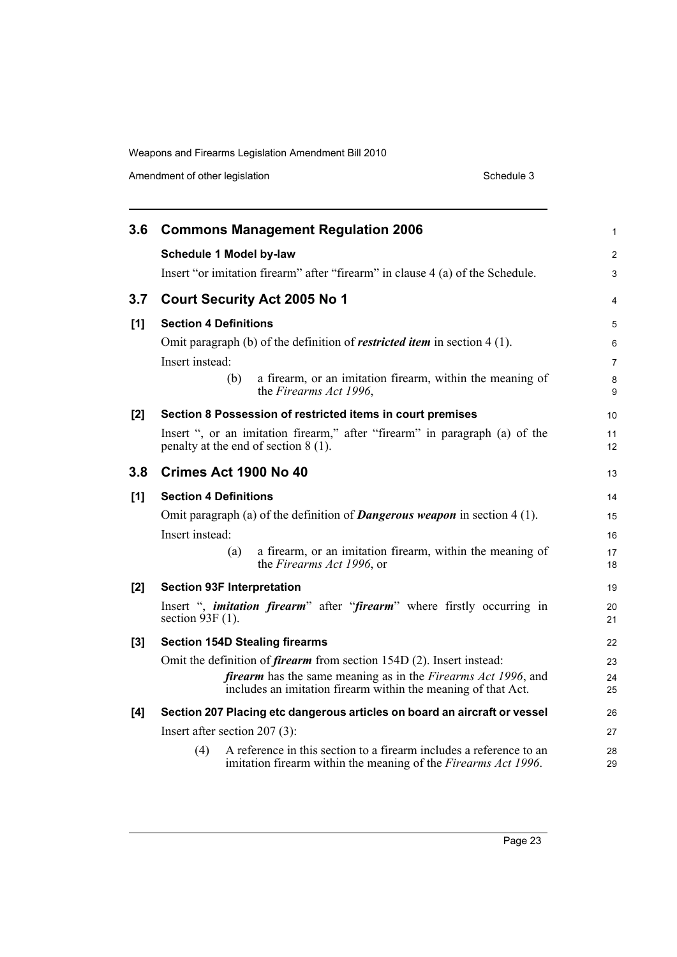| Amendment of other legislation |  |  |
|--------------------------------|--|--|
|                                |  |  |

| 3.6   | <b>Commons Management Regulation 2006</b>                                                                                                     | $\mathbf{1}$   |
|-------|-----------------------------------------------------------------------------------------------------------------------------------------------|----------------|
|       | <b>Schedule 1 Model by-law</b>                                                                                                                | $\overline{2}$ |
|       | Insert "or imitation firearm" after "firearm" in clause 4 (a) of the Schedule.                                                                | 3              |
| 3.7   | <b>Court Security Act 2005 No 1</b>                                                                                                           | $\overline{4}$ |
| [1]   | <b>Section 4 Definitions</b>                                                                                                                  | 5              |
|       | Omit paragraph (b) of the definition of <i>restricted item</i> in section $4(1)$ .                                                            | 6              |
|       | Insert instead:                                                                                                                               | $\overline{7}$ |
|       | a firearm, or an imitation firearm, within the meaning of<br>(b)<br>the Firearms Act 1996,                                                    | 8<br>9         |
| $[2]$ | Section 8 Possession of restricted items in court premises                                                                                    | 10             |
|       | Insert ", or an imitation firearm," after "firearm" in paragraph (a) of the<br>penalty at the end of section 8 (1).                           | 11<br>12       |
| 3.8   | Crimes Act 1900 No 40                                                                                                                         | 13             |
| [1]   | <b>Section 4 Definitions</b>                                                                                                                  | 14             |
|       | Omit paragraph (a) of the definition of <b>Dangerous weapon</b> in section $4(1)$ .                                                           | 15             |
|       | Insert instead:                                                                                                                               | 16             |
|       | a firearm, or an imitation firearm, within the meaning of<br>(a)<br>the Firearms Act 1996, or                                                 | 17<br>18       |
| [2]   | <b>Section 93F Interpretation</b>                                                                                                             | 19             |
|       | Insert ", <i>imitation firearm</i> " after " <i>firearm</i> " where firstly occurring in<br>section $93F(1)$ .                                | 20<br>21       |
| [3]   | <b>Section 154D Stealing firearms</b>                                                                                                         | 22             |
|       | Omit the definition of <i>firearm</i> from section 154D (2). Insert instead:                                                                  | 23             |
|       | <i>firearm</i> has the same meaning as in the <i>Firearms Act 1996</i> , and<br>includes an imitation firearm within the meaning of that Act. | 24<br>25       |
| [4]   | Section 207 Placing etc dangerous articles on board an aircraft or vessel                                                                     | 26             |
|       | Insert after section $207(3)$ :                                                                                                               | 27             |
|       | A reference in this section to a firearm includes a reference to an<br>(4)<br>imitation firearm within the meaning of the Firearms Act 1996.  | 28<br>29       |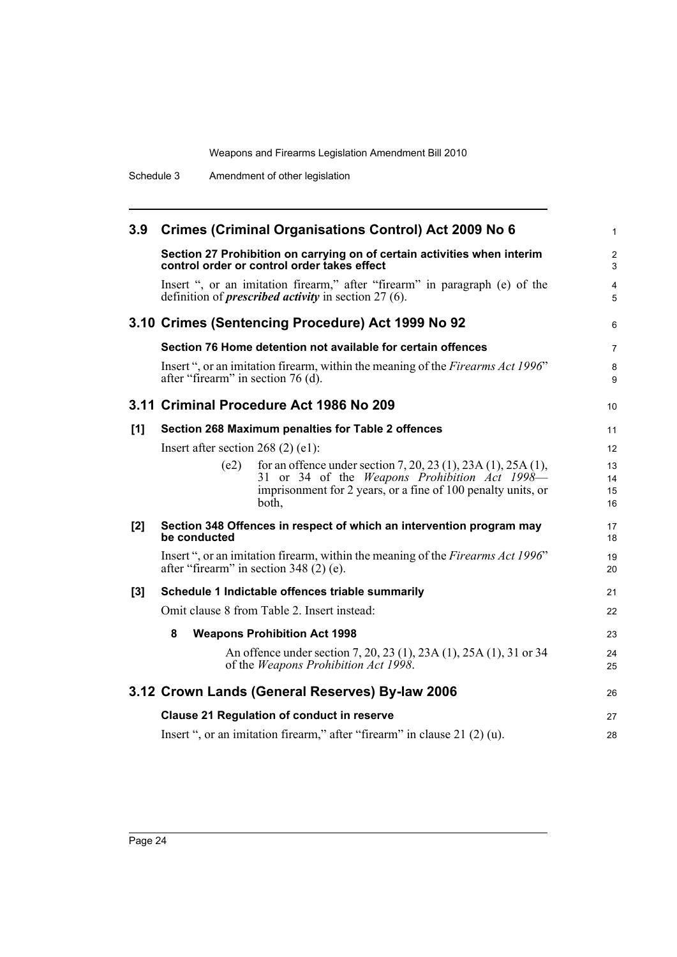| 3.9 | <b>Crimes (Criminal Organisations Control) Act 2009 No 6</b>                                                                                 | 1                   |
|-----|----------------------------------------------------------------------------------------------------------------------------------------------|---------------------|
|     | Section 27 Prohibition on carrying on of certain activities when interim<br>control order or control order takes effect                      | $\overline{c}$<br>3 |
|     | Insert ", or an imitation firearm," after "firearm" in paragraph (e) of the<br>definition of <i>prescribed activity</i> in section $27(6)$ . | 4<br>5              |
|     | 3.10 Crimes (Sentencing Procedure) Act 1999 No 92                                                                                            | 6                   |
|     | Section 76 Home detention not available for certain offences                                                                                 | 7                   |
|     | Insert ", or an imitation firearm, within the meaning of the Firearms Act 1996"<br>after "firearm" in section 76 (d).                        | 8<br>9              |
|     | 3.11 Criminal Procedure Act 1986 No 209                                                                                                      | 10                  |
| [1] | Section 268 Maximum penalties for Table 2 offences                                                                                           | 11                  |
|     | Insert after section $268(2)$ (e1):                                                                                                          | 12                  |
|     | for an offence under section 7, 20, 23 (1), 23A (1), 25A (1),<br>(e2)                                                                        | 13                  |
|     | 31 or 34 of the <i>Weapons Prohibition Act 1998</i> —<br>imprisonment for 2 years, or a fine of 100 penalty units, or                        | 14<br>15            |
|     | both,                                                                                                                                        | 16                  |
| [2] | Section 348 Offences in respect of which an intervention program may<br>be conducted                                                         | 17<br>18            |
|     | Insert ", or an imitation firearm, within the meaning of the Firearms Act 1996"<br>after "firearm" in section $348(2)$ (e).                  | 19<br>20            |
| [3] | Schedule 1 Indictable offences triable summarily                                                                                             | 21                  |
|     | Omit clause 8 from Table 2. Insert instead:                                                                                                  | 22                  |
|     | 8<br><b>Weapons Prohibition Act 1998</b>                                                                                                     | 23                  |
|     | An offence under section 7, 20, 23 (1), 23A (1), 25A (1), 31 or 34                                                                           | 24                  |
|     | of the Weapons Prohibition Act 1998.                                                                                                         | 25                  |
|     | 3.12 Crown Lands (General Reserves) By-law 2006                                                                                              | 26                  |
|     | <b>Clause 21 Regulation of conduct in reserve</b>                                                                                            | 27                  |
|     | Insert ", or an imitation firearm," after "firearm" in clause $21(2)(u)$ .                                                                   | 28                  |
|     |                                                                                                                                              |                     |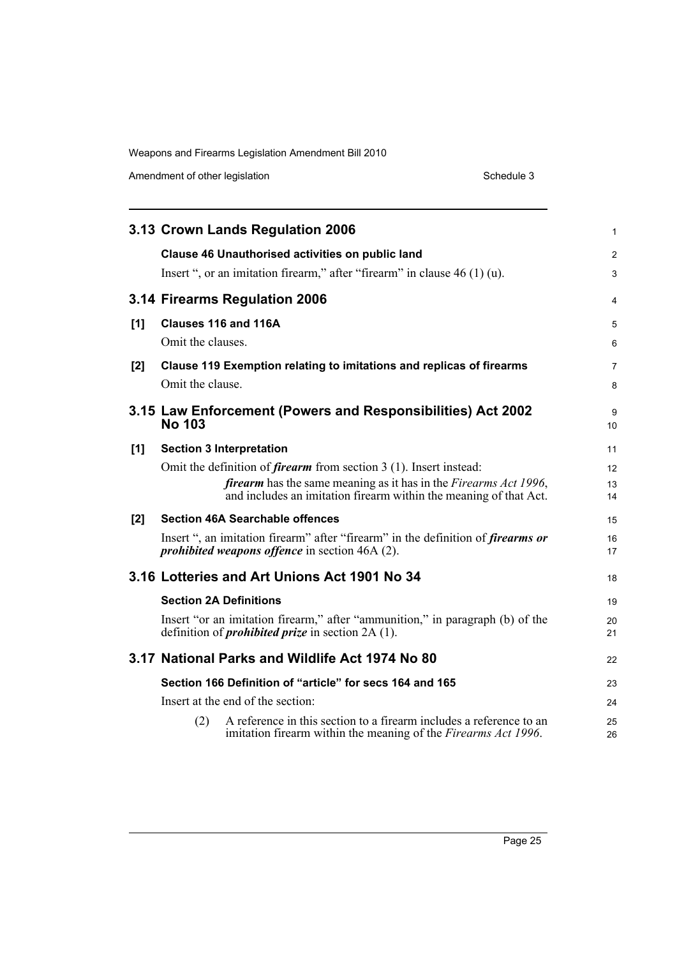Amendment of other legislation Schedule 3

|     |                   | 3.13 Crown Lands Regulation 2006                                                                                                                     | 1        |
|-----|-------------------|------------------------------------------------------------------------------------------------------------------------------------------------------|----------|
|     |                   | <b>Clause 46 Unauthorised activities on public land</b>                                                                                              | 2        |
|     |                   | Insert ", or an imitation firearm," after "firearm" in clause $46(1)(u)$ .                                                                           | 3        |
|     |                   | 3.14 Firearms Regulation 2006                                                                                                                        | 4        |
| [1] |                   | Clauses 116 and 116A                                                                                                                                 | 5        |
|     | Omit the clauses. |                                                                                                                                                      | 6        |
| [2] |                   | Clause 119 Exemption relating to imitations and replicas of firearms                                                                                 | 7        |
|     | Omit the clause.  |                                                                                                                                                      | 8        |
|     | <b>No 103</b>     | 3.15 Law Enforcement (Powers and Responsibilities) Act 2002                                                                                          | 9<br>10  |
| [1] |                   | <b>Section 3 Interpretation</b>                                                                                                                      | 11       |
|     |                   | Omit the definition of <i>firearm</i> from section $3(1)$ . Insert instead:                                                                          | 12       |
|     |                   | <i>firearm</i> has the same meaning as it has in the <i>Firearms Act 1996</i> ,<br>and includes an imitation firearm within the meaning of that Act. | 13<br>14 |
| [2] |                   | <b>Section 46A Searchable offences</b>                                                                                                               | 15       |
|     |                   | Insert ", an imitation firearm" after "firearm" in the definition of <i>firearms or</i><br><i>prohibited weapons offence</i> in section 46A (2).     | 16<br>17 |
|     |                   | 3.16 Lotteries and Art Unions Act 1901 No 34                                                                                                         | 18       |
|     |                   | <b>Section 2A Definitions</b>                                                                                                                        | 19       |
|     |                   | Insert "or an imitation firearm," after "ammunition," in paragraph (b) of the<br>definition of <i>prohibited prize</i> in section $2A(1)$ .          | 20<br>21 |
|     |                   | 3.17 National Parks and Wildlife Act 1974 No 80                                                                                                      | 22       |
|     |                   | Section 166 Definition of "article" for secs 164 and 165                                                                                             | 23       |
|     |                   | Insert at the end of the section:                                                                                                                    | 24       |
|     | (2)               | A reference in this section to a firearm includes a reference to an<br>imitation firearm within the meaning of the Firearms Act 1996.                | 25<br>26 |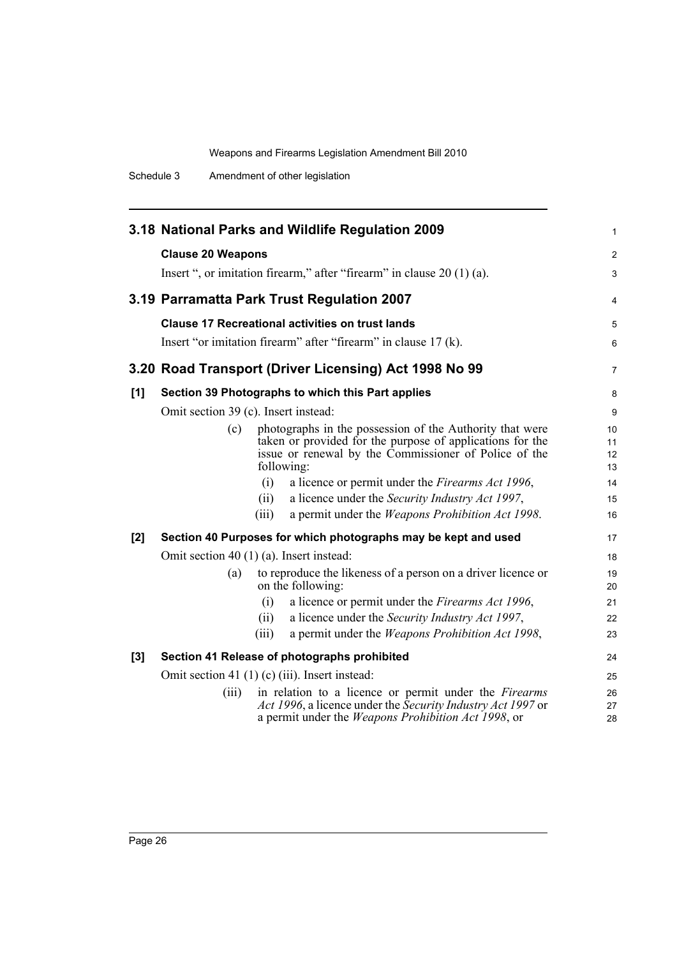Schedule 3 Amendment of other legislation

|       |                                                     | 3.18 National Parks and Wildlife Regulation 2009                                                                                                                                             | 1                    |
|-------|-----------------------------------------------------|----------------------------------------------------------------------------------------------------------------------------------------------------------------------------------------------|----------------------|
|       | <b>Clause 20 Weapons</b>                            |                                                                                                                                                                                              | 2                    |
|       |                                                     | Insert ", or imitation firearm," after "firearm" in clause $20(1)(a)$ .                                                                                                                      | 3                    |
|       |                                                     |                                                                                                                                                                                              |                      |
|       |                                                     | 3.19 Parramatta Park Trust Regulation 2007                                                                                                                                                   | 4                    |
|       |                                                     | <b>Clause 17 Recreational activities on trust lands</b>                                                                                                                                      | 5                    |
|       |                                                     | Insert "or imitation firearm" after "firearm" in clause 17 (k).                                                                                                                              | 6                    |
|       |                                                     | 3.20 Road Transport (Driver Licensing) Act 1998 No 99                                                                                                                                        | 7                    |
| [1]   |                                                     | Section 39 Photographs to which this Part applies                                                                                                                                            | 8                    |
|       | Omit section 39 (c). Insert instead:                |                                                                                                                                                                                              | 9                    |
|       | (c)                                                 | photographs in the possession of the Authority that were<br>taken or provided for the purpose of applications for the<br>issue or renewal by the Commissioner of Police of the<br>following: | 10<br>11<br>12<br>13 |
|       |                                                     | (i)<br>a licence or permit under the Firearms Act 1996,                                                                                                                                      | 14                   |
|       |                                                     | a licence under the Security Industry Act 1997,<br>(ii)                                                                                                                                      | 15                   |
|       |                                                     | a permit under the <i>Weapons Prohibition Act 1998</i> .<br>(iii)                                                                                                                            | 16                   |
| $[2]$ |                                                     | Section 40 Purposes for which photographs may be kept and used                                                                                                                               | 17                   |
|       | Omit section 40 $(1)$ (a). Insert instead:          |                                                                                                                                                                                              |                      |
|       | (a)                                                 | to reproduce the likeness of a person on a driver licence or<br>on the following:                                                                                                            | 19<br>20             |
|       |                                                     | a licence or permit under the <i>Firearms Act 1996</i> ,<br>(i)                                                                                                                              | 21                   |
|       |                                                     | a licence under the Security Industry Act 1997,<br>(ii)                                                                                                                                      | 22                   |
|       |                                                     | a permit under the Weapons Prohibition Act 1998,<br>(iii)                                                                                                                                    | 23                   |
| $[3]$ |                                                     | Section 41 Release of photographs prohibited                                                                                                                                                 | 24                   |
|       | Omit section 41 $(1)$ (c) $(iii)$ . Insert instead: |                                                                                                                                                                                              |                      |
|       | (iii)                                               | in relation to a licence or permit under the Firearms<br>Act 1996, a licence under the Security Industry Act 1997 or<br>a permit under the <i>Weapons Prohibition Act 1998</i> , or          | 26<br>27<br>28       |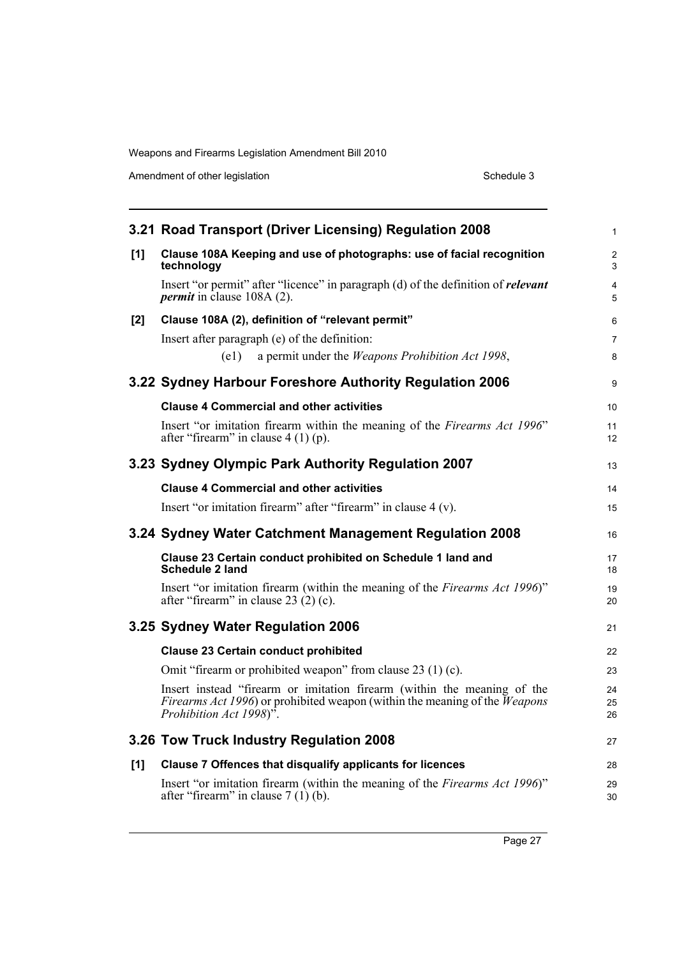Amendment of other legislation Schedule 3

|     | 3.21 Road Transport (Driver Licensing) Regulation 2008                                                                                                                                                       | $\mathbf{1}$        |
|-----|--------------------------------------------------------------------------------------------------------------------------------------------------------------------------------------------------------------|---------------------|
| [1] | Clause 108A Keeping and use of photographs: use of facial recognition<br>technology                                                                                                                          |                     |
|     | Insert "or permit" after "licence" in paragraph (d) of the definition of <i>relevant</i><br><i>permit</i> in clause 108A (2).                                                                                | $\overline{4}$<br>5 |
| [2] | Clause 108A (2), definition of "relevant permit"                                                                                                                                                             | 6                   |
|     | Insert after paragraph (e) of the definition:                                                                                                                                                                | $\overline{7}$      |
|     | (e1)<br>a permit under the <i>Weapons Prohibition Act 1998</i> ,                                                                                                                                             | 8                   |
|     | 3.22 Sydney Harbour Foreshore Authority Regulation 2006                                                                                                                                                      | 9                   |
|     | <b>Clause 4 Commercial and other activities</b>                                                                                                                                                              | 10                  |
|     | Insert "or imitation firearm within the meaning of the Firearms Act 1996"<br>after "firearm" in clause $4(1)(p)$ .                                                                                           | 11<br>12            |
|     | 3.23 Sydney Olympic Park Authority Regulation 2007                                                                                                                                                           | 13                  |
|     | <b>Clause 4 Commercial and other activities</b>                                                                                                                                                              | 14                  |
|     | Insert "or imitation firearm" after "firearm" in clause 4 (v).                                                                                                                                               | 15                  |
|     |                                                                                                                                                                                                              |                     |
|     | 3.24 Sydney Water Catchment Management Regulation 2008                                                                                                                                                       | 16                  |
|     | Clause 23 Certain conduct prohibited on Schedule 1 land and<br><b>Schedule 2 land</b>                                                                                                                        | 17<br>18            |
|     | Insert "or imitation firearm (within the meaning of the Firearms Act 1996)"<br>after "firearm" in clause $23(2)(c)$ .                                                                                        | 19<br>20            |
|     | 3.25 Sydney Water Regulation 2006                                                                                                                                                                            | 21                  |
|     | <b>Clause 23 Certain conduct prohibited</b>                                                                                                                                                                  | 22                  |
|     | Omit "firearm or prohibited weapon" from clause 23 (1) (c).                                                                                                                                                  | 23                  |
|     | Insert instead "firearm or imitation firearm (within the meaning of the<br><i>Firearms Act 1996</i> ) or prohibited weapon (within the meaning of the <i>Weapons</i><br>Prohibition Act 1998) <sup>5</sup> . | 24<br>25<br>26      |
|     | 3.26 Tow Truck Industry Regulation 2008                                                                                                                                                                      | 27                  |
| [1] | Clause 7 Offences that disqualify applicants for licences                                                                                                                                                    | 28                  |
|     | Insert "or imitation firearm (within the meaning of the Firearms Act 1996)"<br>after "firearm" in clause $7(1)$ (b).                                                                                         | 29<br>30            |